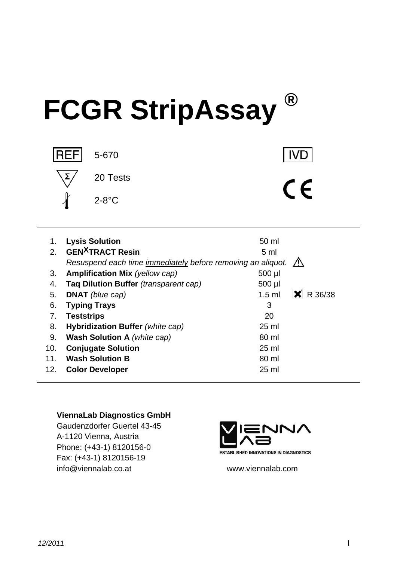# **FCGR StripAssay ®**



| 1.             | <b>Lysis Solution</b>                                                 | 50 ml                            |
|----------------|-----------------------------------------------------------------------|----------------------------------|
| 2 <sub>1</sub> | <b>GEN<sup>X</sup>TRACT</b> Resin                                     | 5 <sub>ml</sub>                  |
|                | Resuspend each time immediately before removing an aliquot. $\Lambda$ |                                  |
| 3.             | <b>Amplification Mix (yellow cap)</b>                                 | 500 µl                           |
| 4.             | Taq Dilution Buffer (transparent cap)                                 | 500 µl                           |
| 5.             | <b>DNAT</b> (blue cap)                                                | $\mathsf{X}$ R 36/38<br>$1.5$ ml |
| 6.             | <b>Typing Trays</b>                                                   | 3                                |
| 7.             | <b>Teststrips</b>                                                     | 20                               |
| 8.             | Hybridization Buffer (white cap)                                      | $25$ ml                          |
| 9.             | <b>Wash Solution A</b> (white cap)                                    | 80 ml                            |
| 10.            | <b>Conjugate Solution</b>                                             | $25$ ml                          |
| 11.            | <b>Wash Solution B</b>                                                | 80 ml                            |
| 12.            | <b>Color Developer</b>                                                | $25$ ml                          |

#### **ViennaLab Diagnostics GmbH**

Gaudenzdorfer Guertel 43-45 A-1120 Vienna, Austria Phone: (+43-1) 8120156-0 Fax: (+43-1) 8120156-19 info@viennalab.co.at www.viennalab.com



**IVD** 

 $\epsilon$ 

**ESTABLISHED INNOVATIONS IN DIAGNOSTICS**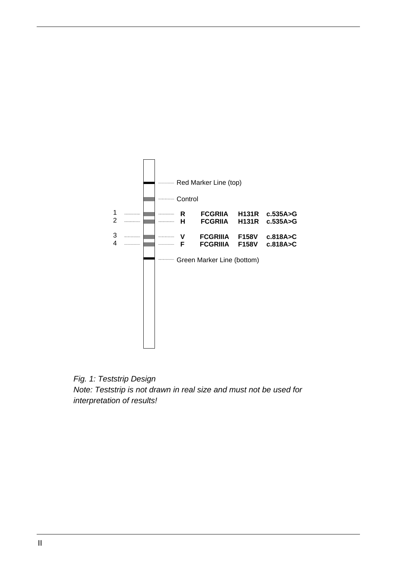

*Fig. 1: Teststrip Design Note: Teststrip is not drawn in real size and must not be used for interpretation of results!*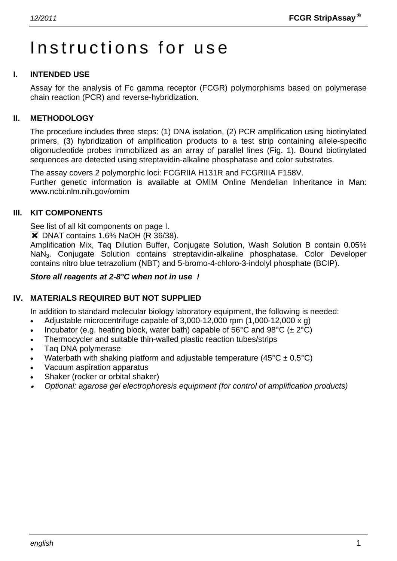# Instructions for use

#### **I. INTENDED USE**

Assay for the analysis of Fc gamma receptor (FCGR) polymorphisms based on polymerase chain reaction (PCR) and reverse-hybridization.

#### **II. METHODOLOGY**

The procedure includes three steps: (1) DNA isolation, (2) PCR amplification using biotinylated primers, (3) hybridization of amplification products to a test strip containing allele-specific oligonucleotide probes immobilized as an array of parallel lines (Fig. 1). Bound biotinylated sequences are detected using streptavidin-alkaline phosphatase and color substrates.

The assay covers 2 polymorphic loci: FCGRIIA H131R and FCGRIIIA F158V. Further genetic information is available at OMIM Online Mendelian Inheritance in Man: www.ncbi.nlm.nih.gov/omim

#### **III. KIT COMPONENTS**

See list of all kit components on page I.

**\*** DNAT contains 1.6% NaOH (R 36/38).

Amplification Mix, Taq Dilution Buffer, Conjugate Solution, Wash Solution B contain 0.05% NaN3. Conjugate Solution contains streptavidin-alkaline phosphatase. Color Developer contains nitro blue tetrazolium (NBT) and 5-bromo-4-chloro-3-indolyl phosphate (BCIP).

#### *Store all reagents at 2-8°C when not in use !*

#### **IV. MATERIALS REQUIRED BUT NOT SUPPLIED**

In addition to standard molecular biology laboratory equipment, the following is needed:

- Adjustable microcentrifuge capable of  $3,000-12,000$  rpm  $(1,000-12,000 \times g)$
- Incubator (e.g. heating block, water bath) capable of 56°C and 98°C ( $\pm 2$ °C)
- Thermocycler and suitable thin-walled plastic reaction tubes/strips
- Taq DNA polymerase
- Waterbath with shaking platform and adjustable temperature  $(45^{\circ}C \pm 0.5^{\circ}C)$
- Vacuum aspiration apparatus
- Shaker (rocker or orbital shaker)
- • *Optional: agarose gel electrophoresis equipment (for control of amplification products)*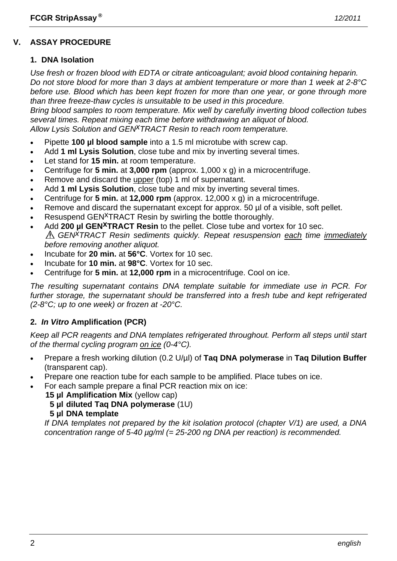### **V. ASSAY PROCEDURE**

#### **1. DNA Isolation**

*Use fresh or frozen blood with EDTA or citrate anticoagulant; avoid blood containing heparin. Do not store blood for more than 3 days at ambient temperature or more than 1 week at 2-8°C before use. Blood which has been kept frozen for more than one year, or gone through more than three freeze-thaw cycles is unsuitable to be used in this procedure.* 

*Bring blood samples to room temperature. Mix well by carefully inverting blood collection tubes several times. Repeat mixing each time before withdrawing an aliquot of blood. Allow Lysis Solution and GENxTRACT Resin to reach room temperature.*

- Pipette **100 µl blood sample** into a 1.5 ml microtube with screw cap.
- Add **1 ml Lysis Solution**, close tube and mix by inverting several times.
- Let stand for **15 min.** at room temperature.
- Centrifuge for **5 min.** at **3,000 rpm** (approx. 1,000 x g) in a microcentrifuge.
- Remove and discard the upper (top) 1 ml of supernatant.
- Add **1 ml Lysis Solution**, close tube and mix by inverting several times.
- Centrifuge for **5 min.** at **12,000 rpm** (approx. 12,000 x g) in a microcentrifuge.
- Remove and discard the supernatant except for approx. 50 µl of a visible, soft pellet.
- Resuspend GEN<sup>X</sup>TRACT Resin by swirling the bottle thoroughly.
- Add 200 µl GEN<sup>X</sup>TRACT Resin to the pellet. Close tube and vortex for 10 sec. *GENxTRACT Resin sediments quickly. Repeat resuspension each time immediately before removing another aliquot.*
- Incubate for **20 min.** at **56°C**. Vortex for 10 sec.
- Incubate for **10 min.** at **98°C**. Vortex for 10 sec.
- Centrifuge for **5 min.** at **12,000 rpm** in a microcentrifuge. Cool on ice.

*The resulting supernatant contains DNA template suitable for immediate use in PCR. For further storage, the supernatant should be transferred into a fresh tube and kept refrigerated (2-8°C; up to one week) or frozen at -20°C.* 

#### **2.** *In Vitro* **Amplification (PCR)**

*Keep all PCR reagents and DNA templates refrigerated throughout. Perform all steps until start of the thermal cycling program on ice (0-4°C).* 

- Prepare a fresh working dilution (0.2 U/µl) of **Taq DNA polymerase** in **Taq Dilution Buffer** (transparent cap).
- Prepare one reaction tube for each sample to be amplified. Place tubes on ice.
- For each sample prepare a final PCR reaction mix on ice:
	- **15 µl Amplification Mix** (yellow cap)
		- **5 µl diluted Taq DNA polymerase** (1U)
		- **5 µl DNA template**

 *If DNA templates not prepared by the kit isolation protocol (chapter V/1) are used, a DNA concentration range of 5-40 µg/ml (= 25-200 ng DNA per reaction) is recommended.*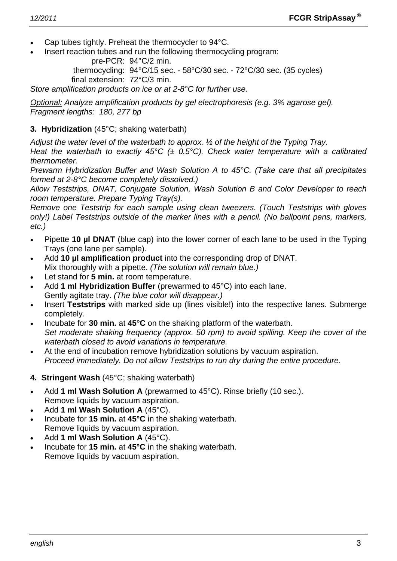- Cap tubes tightly. Preheat the thermocycler to 94°C.
- Insert reaction tubes and run the following thermocycling program:

pre-PCR: 94°C/2 min.

 thermocycling: 94°C/15 sec. - 58°C/30 sec. - 72°C/30 sec. (35 cycles) final extension: 72°C/3 min.

*Store amplification products on ice or at 2-8°C for further use.* 

*Optional: Analyze amplification products by gel electrophoresis (e.g. 3% agarose gel). Fragment lengths: 180, 277 bp* 

#### **3. Hybridization** (45°C; shaking waterbath)

*Adjust the water level of the waterbath to approx. ½ of the height of the Typing Tray.* 

*Heat the waterbath to exactly 45°C (± 0.5°C). Check water temperature with a calibrated thermometer.* 

*Prewarm Hybridization Buffer and Wash Solution A to 45°C. (Take care that all precipitates formed at 2-8°C become completely dissolved.)* 

*Allow Teststrips, DNAT, Conjugate Solution, Wash Solution B and Color Developer to reach room temperature. Prepare Typing Tray(s).* 

*Remove one Teststrip for each sample using clean tweezers. (Touch Teststrips with gloves only!) Label Teststrips outside of the marker lines with a pencil. (No ballpoint pens, markers, etc.)* 

- Pipette **10 µl DNAT** (blue cap) into the lower corner of each lane to be used in the Typing Trays (one lane per sample).
- Add **10 µl amplification product** into the corresponding drop of DNAT. Mix thoroughly with a pipette. *(The solution will remain blue.)*
- Let stand for **5 min.** at room temperature.
- Add **1 ml Hybridization Buffer** (prewarmed to 45°C) into each lane. Gently agitate tray. *(The blue color will disappear.)*
- Insert **Teststrips** with marked side up (lines visible!) into the respective lanes. Submerge completely.
- Incubate for **30 min.** at **45°C** on the shaking platform of the waterbath.  *Set moderate shaking frequency (approx. 50 rpm) to avoid spilling. Keep the cover of the waterbath closed to avoid variations in temperature.*
- At the end of incubation remove hybridization solutions by vacuum aspiration.  *Proceed immediately. Do not allow Teststrips to run dry during the entire procedure.*
- **4. Stringent Wash** (45°C; shaking waterbath)
- Add **1 ml Wash Solution A** (prewarmed to 45°C). Rinse briefly (10 sec.). Remove liquids by vacuum aspiration.
- Add **1 ml Wash Solution A** (45°C).
- Incubate for **15 min.** at **45°C** in the shaking waterbath. Remove liquids by vacuum aspiration.
- Add **1 ml Wash Solution A** (45°C).
- Incubate for **15 min.** at **45°C** in the shaking waterbath. Remove liquids by vacuum aspiration.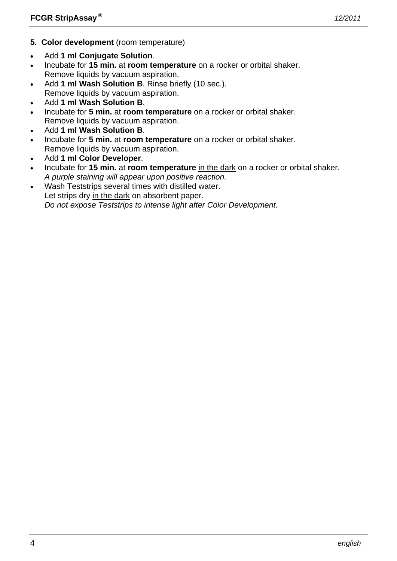- **5. Color development** (room temperature)
- Add **1 ml Conjugate Solution**.
- Incubate for **15 min.** at **room temperature** on a rocker or orbital shaker. Remove liquids by vacuum aspiration.
- Add **1 ml Wash Solution B**. Rinse briefly (10 sec.). Remove liquids by vacuum aspiration.
- Add **1 ml Wash Solution B**.
- Incubate for **5 min.** at **room temperature** on a rocker or orbital shaker. Remove liquids by vacuum aspiration.
- Add **1 ml Wash Solution B**.
- Incubate for **5 min.** at **room temperature** on a rocker or orbital shaker. Remove liquids by vacuum aspiration.
- Add **1 ml Color Developer**.
- Incubate for **15 min.** at **room temperature** in the dark on a rocker or orbital shaker.  *A purple staining will appear upon positive reaction.*
- Wash Teststrips several times with distilled water. Let strips dry in the dark on absorbent paper.  *Do not expose Teststrips to intense light after Color Development.*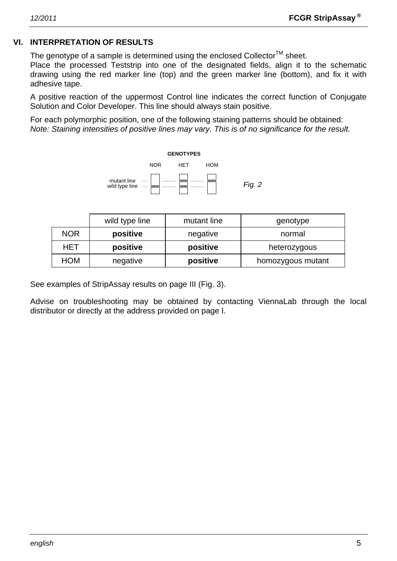#### **VI. INTERPRETATION OF RESULTS**

The genotype of a sample is determined using the enclosed Collector<sup>TM</sup> sheet.

Place the processed Teststrip into one of the designated fields, align it to the schematic drawing using the red marker line (top) and the green marker line (bottom), and fix it with adhesive tape.

A positive reaction of the uppermost Control line indicates the correct function of Conjugate Solution and Color Developer. This line should always stain positive.

For each polymorphic position, one of the following staining patterns should be obtained: *Note: Staining intensities of positive lines may vary. This is of no significance for the result.* 



|            | wild type line | mutant line                   | genotype     |  |
|------------|----------------|-------------------------------|--------------|--|
| <b>NOR</b> | positive       | negative                      | normal       |  |
| HET        | positive       | positive                      | heterozygous |  |
| HOM        | negative       | positive<br>homozygous mutant |              |  |

See examples of StripAssay results on page III (Fig. 3).

Advise on troubleshooting may be obtained by contacting ViennaLab through the local distributor or directly at the address provided on page I.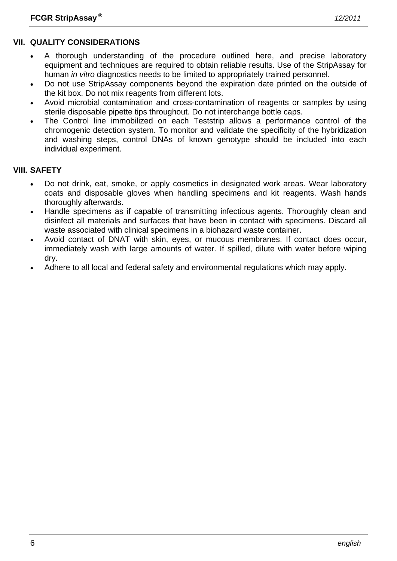### **VII. QUALITY CONSIDERATIONS**

- A thorough understanding of the procedure outlined here, and precise laboratory equipment and techniques are required to obtain reliable results. Use of the StripAssay for human *in vitro* diagnostics needs to be limited to appropriately trained personnel.
- Do not use StripAssay components beyond the expiration date printed on the outside of the kit box. Do not mix reagents from different lots.
- Avoid microbial contamination and cross-contamination of reagents or samples by using sterile disposable pipette tips throughout. Do not interchange bottle caps.
- The Control line immobilized on each Teststrip allows a performance control of the chromogenic detection system. To monitor and validate the specificity of the hybridization and washing steps, control DNAs of known genotype should be included into each individual experiment.

#### **VIII. SAFETY**

- Do not drink, eat, smoke, or apply cosmetics in designated work areas. Wear laboratory coats and disposable gloves when handling specimens and kit reagents. Wash hands thoroughly afterwards.
- Handle specimens as if capable of transmitting infectious agents. Thoroughly clean and disinfect all materials and surfaces that have been in contact with specimens. Discard all waste associated with clinical specimens in a biohazard waste container.
- Avoid contact of DNAT with skin, eyes, or mucous membranes. If contact does occur, immediately wash with large amounts of water. If spilled, dilute with water before wiping dry.
- Adhere to all local and federal safety and environmental regulations which may apply.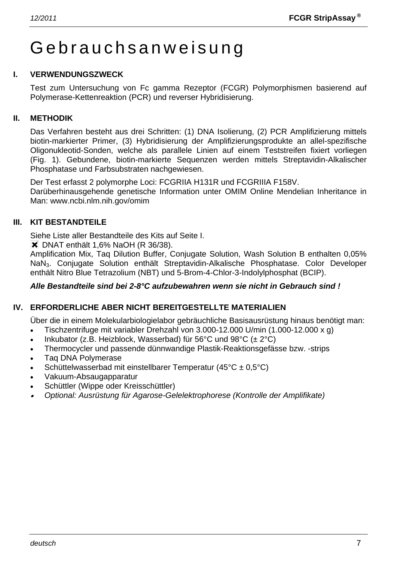# Gebrauchsanweisung

#### **I. VERWENDUNGSZWECK**

Test zum Untersuchung von Fc gamma Rezeptor (FCGR) Polymorphismen basierend auf Polymerase-Kettenreaktion (PCR) und reverser Hybridisierung.

#### **II. METHODIK**

Das Verfahren besteht aus drei Schritten: (1) DNA Isolierung, (2) PCR Amplifizierung mittels biotin-markierter Primer, (3) Hybridisierung der Amplifizierungsprodukte an allel-spezifische Oligonukleotid-Sonden, welche als parallele Linien auf einem Teststreifen fixiert vorliegen (Fig. 1). Gebundene, biotin-markierte Sequenzen werden mittels Streptavidin-Alkalischer Phosphatase und Farbsubstraten nachgewiesen.

Der Test erfasst 2 polymorphe Loci: FCGRIIA H131R und FCGRIIIA F158V. Darüberhinausgehende genetische Information unter OMIM Online Mendelian Inheritance in Man: www.ncbi.nlm.nih.gov/omim

#### **III. KIT BESTANDTEILE**

Siehe Liste aller Bestandteile des Kits auf Seite I.

**X** DNAT enthält 1.6% NaOH (R 36/38).

Amplification Mix, Taq Dilution Buffer, Conjugate Solution, Wash Solution B enthalten 0,05% NaN3. Conjugate Solution enthält Streptavidin-Alkalische Phosphatase. Color Developer enthält Nitro Blue Tetrazolium (NBT) und 5-Brom-4-Chlor-3-Indolylphosphat (BCIP).

#### *Alle Bestandteile sind bei 2-8°C aufzubewahren wenn sie nicht in Gebrauch sind !*

# **IV. ERFORDERLICHE ABER NICHT BEREITGESTELLTE MATERIALIEN**

Über die in einem Molekularbiologielabor gebräuchliche Basisausrüstung hinaus benötigt man:

- Tischzentrifuge mit variabler Drehzahl von 3.000-12.000 U/min (1.000-12.000 x g)
- Inkubator (z.B. Heizblock, Wasserbad) für 56°C und 98°C ( $\pm 2$ °C)
- Thermocycler und passende dünnwandige Plastik-Reaktionsgefässe bzw. -strips
- Taq DNA Polymerase
- Schüttelwasserbad mit einstellbarer Temperatur (45°C ± 0,5°C)
- Vakuum-Absaugapparatur
- Schüttler (Wippe oder Kreisschüttler)
- • *Optional: Ausrüstung für Agarose-Gelelektrophorese (Kontrolle der Amplifikate)*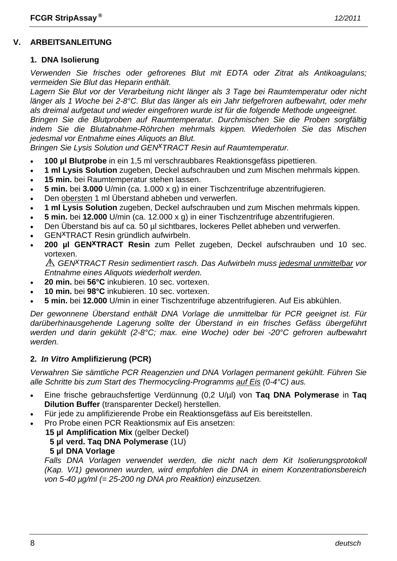#### **V. ARBEITSANLEITUNG**

#### **1. DNA Isolierung**

*Verwenden Sie frisches oder gefrorenes Blut mit EDTA oder Zitrat als Antikoagulans; vermeiden Sie Blut das Heparin enthält.* 

*Lagern Sie Blut vor der Verarbeitung nicht länger als 3 Tage bei Raumtemperatur oder nicht länger als 1 Woche bei 2-8°C. Blut das länger als ein Jahr tiefgefroren aufbewahrt, oder mehr als dreimal aufgetaut und wieder eingefroren wurde ist für die folgende Methode ungeeignet. Bringen Sie die Blutproben auf Raumtemperatur. Durchmischen Sie die Proben sorgfältig* 

*indem Sie die Blutabnahme-Röhrchen mehrmals kippen. Wiederholen Sie das Mischen jedesmal vor Entnahme eines Aliquots an Blut.* 

*Bringen Sie Lysis Solution und GEN<sup>X</sup>TRACT Resin auf Raumtemperatur.* 

- **100 µl Blutprobe** in ein 1,5 ml verschraubbares Reaktionsgefäss pipettieren.
- **1 ml Lysis Solution** zugeben, Deckel aufschrauben und zum Mischen mehrmals kippen.
- **15 min.** bei Raumtemperatur stehen lassen.
- **5 min.** bei **3.000** U/min (ca. 1.000 x g) in einer Tischzentrifuge abzentrifugieren.
- Den obersten 1 ml Überstand abheben und verwerfen.
- **1 ml Lysis Solution** zugeben, Deckel aufschrauben und zum Mischen mehrmals kippen.
- **5 min.** bei **12.000** U/min (ca. 12.000 x g) in einer Tischzentrifuge abzentrifugieren.
- Den Überstand bis auf ca. 50 µl sichtbares, lockeres Pellet abheben und verwerfen.
- GENxTRACT Resin gründlich aufwirbeln.
- **200 µl GENxTRACT Resin** zum Pellet zugeben, Deckel aufschrauben und 10 sec. vortexen.

*GENxTRACT Resin sedimentiert rasch. Das Aufwirbeln muss jedesmal unmittelbar vor Entnahme eines Aliquots wiederholt werden.* 

- **20 min.** bei **56°C** inkubieren. 10 sec. vortexen.
- **10 min.** bei **98°C** inkubieren. 10 sec. vortexen.
- **5 min.** bei **12.000** U/min in einer Tischzentrifuge abzentrifugieren. Auf Eis abkühlen.

*Der gewonnene Überstand enthält DNA Vorlage die unmittelbar für PCR geeignet ist. Für darüberhinausgehende Lagerung sollte der Überstand in ein frisches Gefäss übergeführt werden und darin gekühlt (2-8°C; max. eine Woche) oder bei -20°C gefroren aufbewahrt werden.* 

#### **2.** *In Vitro* **Amplifizierung (PCR)**

*Verwahren Sie sämtliche PCR Reagenzien und DNA Vorlagen permanent gekühlt. Führen Sie alle Schritte bis zum Start des Thermocycling-Programms auf Eis (0-4°C) aus.* 

- Eine frische gebrauchsfertige Verdünnung (0,2 U/µl) von **Taq DNA Polymerase** in **Taq Dilution Buffer** (transparenter Deckel) herstellen.
- Für jede zu amplifizierende Probe ein Reaktionsgefäss auf Eis bereitstellen.
- Pro Probe einen PCR Reaktionsmix auf Eis ansetzen:
	- **15 µl Amplification Mix** (gelber Deckel)

#### **5 µl verd. Taq DNA Polymerase** (1U)

**5 µl DNA Vorlage**

 *Falls DNA Vorlagen verwendet werden, die nicht nach dem Kit Isolierungsprotokoll (Kap. V/1) gewonnen wurden, wird empfohlen die DNA in einem Konzentrationsbereich von 5-40 µg/ml (= 25-200 ng DNA pro Reaktion) einzusetzen.*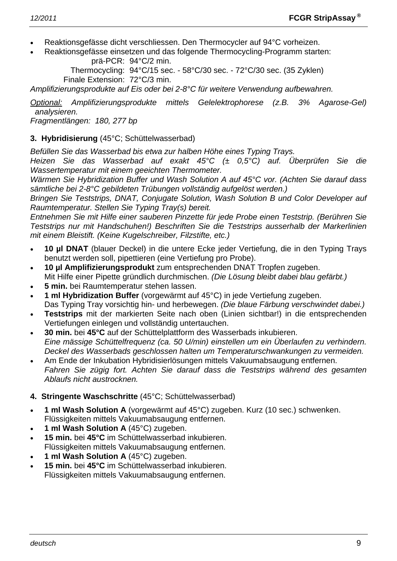- Reaktionsgefässe dicht verschliessen. Den Thermocycler auf 94°C vorheizen.
- Reaktionsgefässe einsetzen und das folgende Thermocycling-Programm starten: prä-PCR: 94°C/2 min.

 Thermocycling: 94°C/15 sec. - 58°C/30 sec. - 72°C/30 sec. (35 Zyklen) Finale Extension: 72°C/3 min.

*Amplifizierungsprodukte auf Eis oder bei 2-8°C für weitere Verwendung aufbewahren.* 

*Optional: Amplifizierungsprodukte mittels Gelelektrophorese (z.B. 3% Agarose-Gel) analysieren.* 

*Fragmentlängen: 180, 277 bp* 

#### **3. Hybridisierung** (45°C; Schüttelwasserbad)

*Befüllen Sie das Wasserbad bis etwa zur halben Höhe eines Typing Trays.* 

*Heizen Sie das Wasserbad auf exakt 45°C (± 0,5°C) auf. Überprüfen Sie die Wassertemperatur mit einem geeichten Thermometer.* 

*Wärmen Sie Hybridization Buffer und Wash Solution A auf 45°C vor. (Achten Sie darauf dass sämtliche bei 2-8°C gebildeten Trübungen vollständig aufgelöst werden.)* 

*Bringen Sie Teststrips, DNAT, Conjugate Solution, Wash Solution B und Color Developer auf Raumtemperatur. Stellen Sie Typing Tray(s) bereit.* 

*Entnehmen Sie mit Hilfe einer sauberen Pinzette für jede Probe einen Teststrip. (Berühren Sie Teststrips nur mit Handschuhen!) Beschriften Sie die Teststrips ausserhalb der Markerlinien mit einem Bleistift. (Keine Kugelschreiber, Filzstifte, etc.)* 

- **10 µl DNAT** (blauer Deckel) in die untere Ecke jeder Vertiefung, die in den Typing Trays benutzt werden soll, pipettieren (eine Vertiefung pro Probe).
- **10 µl Amplifizierungsprodukt** zum entsprechenden DNAT Tropfen zugeben. Mit Hilfe einer Pipette gründlich durchmischen. *(Die Lösung bleibt dabei blau gefärbt.)*
- **5 min.** bei Raumtemperatur stehen lassen.
- **1 ml Hybridization Buffer** (vorgewärmt auf 45°C) in jede Vertiefung zugeben. Das Typing Tray vorsichtig hin- und herbewegen. *(Die blaue Färbung verschwindet dabei.)*
- **Teststrips** mit der markierten Seite nach oben (Linien sichtbar!) in die entsprechenden Vertiefungen einlegen und vollständig untertauchen.
- **30 min.** bei **45°C** auf der Schüttelplattform des Wasserbads inkubieren.  *Eine mässige Schüttelfrequenz (ca. 50 U/min) einstellen um ein Überlaufen zu verhindern. Deckel des Wasserbads geschlossen halten um Temperaturschwankungen zu vermeiden.*
- Am Ende der Inkubation Hybridisierlösungen mittels Vakuumabsaugung entfernen.  *Fahren Sie zügig fort. Achten Sie darauf dass die Teststrips während des gesamten Ablaufs nicht austrocknen.*

#### **4. Stringente Waschschritte** (45°C; Schüttelwasserbad)

- **1 ml Wash Solution A** (vorgewärmt auf 45°C) zugeben. Kurz (10 sec.) schwenken. Flüssigkeiten mittels Vakuumabsaugung entfernen.
- **1 ml Wash Solution A** (45°C) zugeben.
- **15 min.** bei **45°C** im Schüttelwasserbad inkubieren. Flüssigkeiten mittels Vakuumabsaugung entfernen.
- **1 ml Wash Solution A** (45°C) zugeben.
- **15 min.** bei **45°C** im Schüttelwasserbad inkubieren. Flüssigkeiten mittels Vakuumabsaugung entfernen.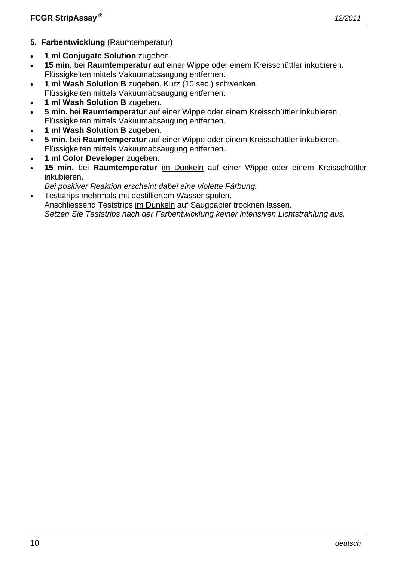- **5. Farbentwicklung** (Raumtemperatur)
- **1 ml Conjugate Solution** zugeben.
- **15 min.** bei **Raumtemperatur** auf einer Wippe oder einem Kreisschüttler inkubieren. Flüssigkeiten mittels Vakuumabsaugung entfernen.
- **1 ml Wash Solution B** zugeben. Kurz (10 sec.) schwenken.
- Flüssigkeiten mittels Vakuumabsaugung entfernen.
- **1 ml Wash Solution B** zugeben.
- **5 min.** bei **Raumtemperatur** auf einer Wippe oder einem Kreisschüttler inkubieren. Flüssigkeiten mittels Vakuumabsaugung entfernen.
- **1 ml Wash Solution B** zugeben.
- **5 min.** bei **Raumtemperatur** auf einer Wippe oder einem Kreisschüttler inkubieren. Flüssigkeiten mittels Vakuumabsaugung entfernen.
- **1 ml Color Developer** zugeben.
- **15 min.** bei **Raumtemperatur** im Dunkeln auf einer Wippe oder einem Kreisschüttler inkubieren.
- *Bei positiver Reaktion erscheint dabei eine violette Färbung.*
- Teststrips mehrmals mit destilliertem Wasser spülen.

 Anschliessend Teststrips im Dunkeln auf Saugpapier trocknen lassen.  *Setzen Sie Teststrips nach der Farbentwicklung keiner intensiven Lichtstrahlung aus.*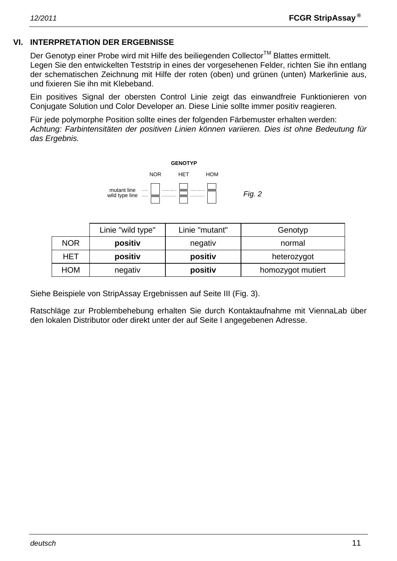#### **VI. INTERPRETATION DER ERGEBNISSE**

Der Genotyp einer Probe wird mit Hilfe des beiliegenden Collector™ Blattes ermittelt. Legen Sie den entwickelten Teststrip in eines der vorgesehenen Felder, richten Sie ihn entlang der schematischen Zeichnung mit Hilfe der roten (oben) und grünen (unten) Markerlinie aus, und fixieren Sie ihn mit Klebeband.

Ein positives Signal der obersten Control Linie zeigt das einwandfreie Funktionieren von Conjugate Solution und Color Developer an. Diese Linie sollte immer positiv reagieren.

Für jede polymorphe Position sollte eines der folgenden Färbemuster erhalten werden: *Achtung: Farbintensitäten der positiven Linien können variieren. Dies ist ohne Bedeutung für das Ergebnis.* 



|            | Linie "wild type" | Linie "mutant"               | Genotyp     |  |
|------------|-------------------|------------------------------|-------------|--|
| <b>NOR</b> | positiv           | negativ                      | normal      |  |
| HET        | positiv           | positiv                      | heterozygot |  |
| HOM        | negativ           | positiv<br>homozygot mutiert |             |  |

Siehe Beispiele von StripAssay Ergebnissen auf Seite III (Fig. 3).

Ratschläge zur Problembehebung erhalten Sie durch Kontaktaufnahme mit ViennaLab über den lokalen Distributor oder direkt unter der auf Seite I angegebenen Adresse.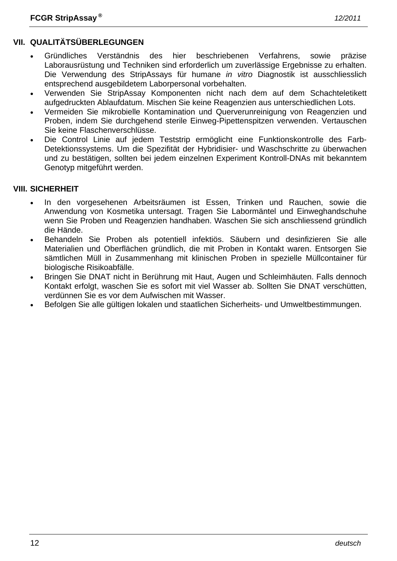# **VII. QUALITÄTSÜBERLEGUNGEN**

- Gründliches Verständnis des hier beschriebenen Verfahrens, sowie präzise Laborausrüstung und Techniken sind erforderlich um zuverlässige Ergebnisse zu erhalten. Die Verwendung des StripAssays für humane *in vitro* Diagnostik ist ausschliesslich entsprechend ausgebildetem Laborpersonal vorbehalten.
- Verwenden Sie StripAssay Komponenten nicht nach dem auf dem Schachteletikett aufgedruckten Ablaufdatum. Mischen Sie keine Reagenzien aus unterschiedlichen Lots.
- Vermeiden Sie mikrobielle Kontamination und Querverunreinigung von Reagenzien und Proben, indem Sie durchgehend sterile Einweg-Pipettenspitzen verwenden. Vertauschen Sie keine Flaschenverschlüsse.
- Die Control Linie auf jedem Teststrip ermöglicht eine Funktionskontrolle des Farb-Detektionssystems. Um die Spezifität der Hybridisier- und Waschschritte zu überwachen und zu bestätigen, sollten bei jedem einzelnen Experiment Kontroll-DNAs mit bekanntem Genotyp mitgeführt werden.

#### **VIII. SICHERHEIT**

- In den vorgesehenen Arbeitsräumen ist Essen, Trinken und Rauchen, sowie die Anwendung von Kosmetika untersagt. Tragen Sie Labormäntel und Einweghandschuhe wenn Sie Proben und Reagenzien handhaben. Waschen Sie sich anschliessend gründlich die Hände.
- Behandeln Sie Proben als potentiell infektiös. Säubern und desinfizieren Sie alle Materialien und Oberflächen gründlich, die mit Proben in Kontakt waren. Entsorgen Sie sämtlichen Müll in Zusammenhang mit klinischen Proben in spezielle Müllcontainer für biologische Risikoabfälle.
- Bringen Sie DNAT nicht in Berührung mit Haut, Augen und Schleimhäuten. Falls dennoch Kontakt erfolgt, waschen Sie es sofort mit viel Wasser ab. Sollten Sie DNAT verschütten, verdünnen Sie es vor dem Aufwischen mit Wasser.
- Befolgen Sie alle gültigen lokalen und staatlichen Sicherheits- und Umweltbestimmungen.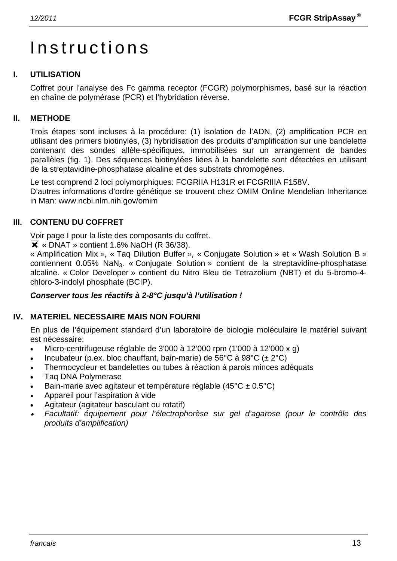# Instructions

### **I. UTILISATION**

Coffret pour l'analyse des Fc gamma receptor (FCGR) polymorphismes, basé sur la réaction en chaîne de polymérase (PCR) et l'hybridation réverse.

#### **II. METHODE**

Trois étapes sont incluses à la procédure: (1) isolation de l'ADN, (2) amplification PCR en utilisant des primers biotinylés, (3) hybridisation des produits d'amplification sur une bandelette contenant des sondes allèle-spécifiques, immobilisées sur un arrangement de bandes parallèles (fig. 1). Des séquences biotinylées liées à la bandelette sont détectées en utilisant de la streptavidine-phosphatase alcaline et des substrats chromogènes.

Le test comprend 2 loci polymorphiques: FCGRIIA H131R et FCGRIIIA F158V. D'autres informations d'ordre génétique se trouvent chez OMIM Online Mendelian Inheritance in Man: www.ncbi.nlm.nih.gov/omim

#### **III. CONTENU DU COFFRET**

Voir page I pour la liste des composants du coffret.

 $\overline{\mathsf{X}}$  « DNAT » contient 1.6% NaOH (R 36/38).

« Amplification Mix », « Taq Dilution Buffer », « Conjugate Solution » et « Wash Solution B » contiennent 0.05% NaN<sub>3</sub>. « Conjugate Solution » contient de la streptavidine-phosphatase alcaline. « Color Developer » contient du Nitro Bleu de Tetrazolium (NBT) et du 5-bromo-4 chloro-3-indolyl phosphate (BCIP).

#### *Conserver tous les réactifs à 2-8°C jusqu'à l'utilisation !*

#### **IV. MATERIEL NECESSAIRE MAIS NON FOURNI**

En plus de l'équipement standard d'un laboratoire de biologie moléculaire le matériel suivant est nécessaire:

- Micro-centrifugeuse réglable de 3'000 à 12'000 rpm (1'000 à 12'000 x g)
- Incubateur (p.ex. bloc chauffant, bain-marie) de 56°C à 98°C (± 2°C)
- Thermocycleur et bandelettes ou tubes à réaction à parois minces adéquats
- Taq DNA Polymerase
- Bain-marie avec agitateur et température réglable (45°C ± 0.5°C)
- Appareil pour l'aspiration à vide
- Agitateur (agitateur basculant ou rotatif)
- • *Facultatif: équipement pour l'électrophorèse sur gel d'agarose (pour le contrôle des produits d'amplification)*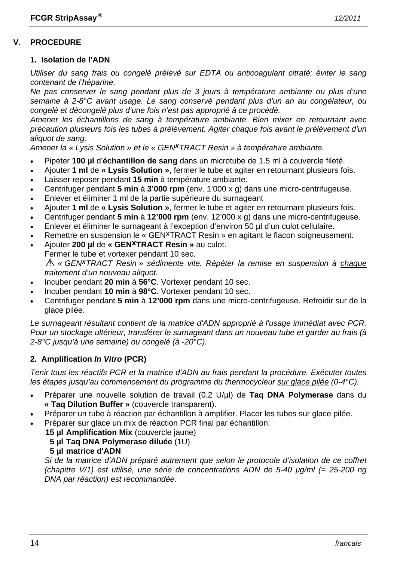#### **V. PROCEDURE**

#### **1. Isolation de l'ADN**

*Utiliser du sang frais ou congelé prélevé sur EDTA ou anticoagulant citraté; éviter le sang contenant de l'héparine.* 

*Ne pas conserver le sang pendant plus de 3 jours à température ambiante ou plus d'une semaine à 2-8°C avant usage. Le sang conservé pendant plus d'un an au congélateur, ou congelé et décongelé plus d'une fois n'est pas approprié à ce procédé.* 

*Amener les échantillons de sang à température ambiante. Bien mixer en retournant avec précaution plusieurs fois les tubes à prélèvement. Agiter chaque fois avant le prélèvement d'un aliquot de sang.* 

*Amener la « Lysis Solution » et le « GENxTRACT Resin » à température ambiante.*

- Pipeter **100 µl** d'**échantillon de sang** dans un microtube de 1.5 ml à couvercle fileté.
- Ajouter **1 ml** de **« Lysis Solution »**, fermer le tube et agiter en retournant plusieurs fois.
- Laisser reposer pendant **15 min** à température ambiante.
- Centrifuger pendant **5 min** à **3'000 rpm** (env. 1'000 x g) dans une micro-centrifugeuse.
- Enlever et éliminer 1 ml de la partie supérieure du surnageant
- Ajouter **1 ml** de **« Lysis Solution »**, fermer le tube et agiter en retournant plusieurs fois.
- Centrifuger pendant **5 min** à **12'000 rpm** (env. 12'000 x g) dans une micro-centrifugeuse.
- Enlever et éliminer le surnageant à l'exception d'environ 50 µl d'un culot cellulaire.
- Remettre en suspension le « GEN<sup>X</sup>TRACT Resin » en agitant le flacon soigneusement.
- Ajouter **200 µl** de **« GENxTRACT Resin »** au culot.
- Fermer le tube et vortexer pendant 10 sec.

*« GENxTRACT Resin » sédimente vite. Répéter la remise en suspension à chaque traitement d'un nouveau aliquot.* 

- Incuber pendant **20 min** à **56°C**. Vortexer pendant 10 sec.
- Incuber pendant **10 min** à **98°C**. Vortexer pendant 10 sec.
- Centrifuger pendant **5 min** à **12'000 rpm** dans une micro-centrifugeuse. Refroidir sur de la glace pilée.

*Le surnageant résultant contient de la matrice d'ADN approprié à l'usage immédiat avec PCR. Pour un stockage ultérieur, transférer le surnageant dans un nouveau tube et garder au frais (à 2-8°C jusqu'à une semaine) ou congelé (à -20°C).* 

#### **2. Amplification** *In Vitro* **(PCR)**

*Tenir tous les réactifs PCR et la matrice d'ADN au frais pendant la procédure. Exécuter toutes les étapes jusqu'au commencement du programme du thermocycleur sur glace pilée (0-4°C).* 

- Préparer une nouvelle solution de travail (0.2 U/µl) de **Taq DNA Polymerase** dans du **« Taq Dilution Buffer »** (couvercle transparent).
- Préparer un tube à réaction par échantillon à amplifier. Placer les tubes sur glace pilée.
- Préparer sur glace un mix de réaction PCR final par échantillon:
	- **15 µl Amplification Mix** (couvercle jaune)
		- **5 µl Taq DNA Polymerase diluée** (1U)
		- **5 µl matrice d'ADN**

 *Si de la matrice d'ADN préparé autrement que selon le protocole d'isolation de ce coffret (chapitre V/1) est utilisé, une série de concentrations ADN de 5-40 µg/ml (= 25-200 ng DNA par réaction) est recommandée.*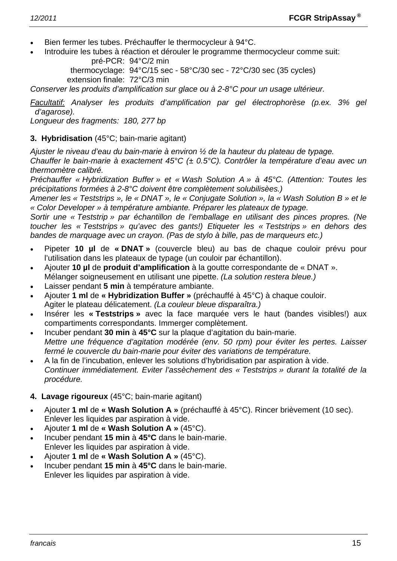- Bien fermer les tubes. Préchauffer le thermocycleur à 94°C.
- Introduire les tubes à réaction et dérouler le programme thermocycleur comme suit: pré-PCR: 94°C/2 min

 thermocyclage: 94°C/15 sec - 58°C/30 sec - 72°C/30 sec (35 cycles) extension finale: 72°C/3 min

*Conserver les produits d'amplification sur glace ou à 2-8°C pour un usage ultérieur.* 

*Facultatif: Analyser les produits d'amplification par gel électrophorèse (p.ex. 3% gel d'agarose).* 

*Longueur des fragments: 180, 277 bp* 

#### **3. Hybridisation** (45°C; bain-marie agitant)

*Ajuster le niveau d'eau du bain-marie à environ ½ de la hauteur du plateau de typage.* 

*Chauffer le bain-marie à exactement 45°C (± 0.5°C). Contrôler la température d'eau avec un thermomètre calibré.* 

*Préchauffer « Hybridization Buffer » et « Wash Solution A » à 45°C. (Attention: Toutes les précipitations formées à 2-8°C doivent être complètement solubilisèes.)* 

*Amener les « Teststrips », le « DNAT », le « Conjugate Solution », la « Wash Solution B » et le « Color Developer » à température ambiante. Préparer les plateaux de typage.* 

*Sortir une « Teststrip » par échantillon de l'emballage en utilisant des pinces propres. (Ne toucher les « Teststrips » qu'avec des gants!) Etiqueter les « Teststrips » en dehors des bandes de marquage avec un crayon. (Pas de stylo à bille, pas de marqueurs etc.)* 

- Pipeter **10 µl** de **« DNAT »** (couvercle bleu) au bas de chaque couloir prévu pour l'utilisation dans les plateaux de typage (un couloir par échantillon).
- Ajouter **10 µl** de **produit d'amplification** à la goutte correspondante de « DNAT ». Mélanger soigneusement en utilisant une pipette. *(La solution restera bleue.)*
- Laisser pendant **5 min** à température ambiante.
- Ajouter **1 ml** de **« Hybridization Buffer »** (préchauffé à 45°C) à chaque couloir. Agiter le plateau délicatement. *(La couleur bleue disparaîtra.)*
- Insérer les **« Teststrips »** avec la face marquée vers le haut (bandes visibles!) aux compartiments correspondants. Immerger complètement.
- Incuber pendant **30 min** à **45°C** sur la plaque d'agitation du bain-marie. *Mettre une fréquence d'agitation modérée (env. 50 rpm) pour éviter les pertes. Laisser fermé le couvercle du bain-marie pour éviter des variations de température.*
- A la fin de l'incubation, enlever les solutions d'hybridisation par aspiration à vide.  *Continuer immédiatement. Eviter l'assèchement des « Teststrips » durant la totalité de la procédure.*

#### **4. Lavage rigoureux** (45°C; bain-marie agitant)

- Ajouter **1 ml** de **« Wash Solution A »** (préchauffé à 45°C). Rincer brièvement (10 sec). Enlever les liquides par aspiration à vide.
- Ajouter **1 ml** de **« Wash Solution A »** (45°C).
- Incuber pendant **15 min** à **45°C** dans le bain-marie. Enlever les liquides par aspiration à vide.
- Ajouter **1 ml** de **« Wash Solution A »** (45°C).
- Incuber pendant **15 min** à **45°C** dans le bain-marie. Enlever les liquides par aspiration à vide.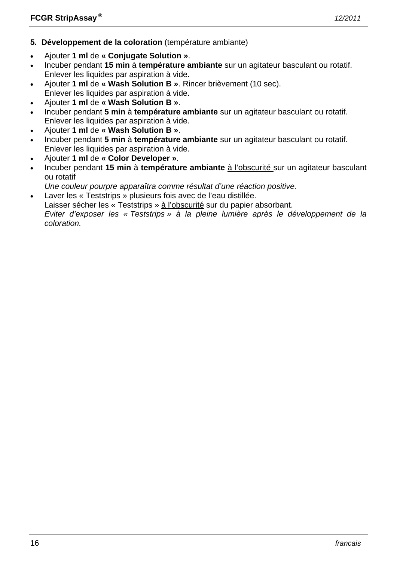- **5. Développement de la coloration** (température ambiante)
- Ajouter **1 ml** de **« Conjugate Solution »**.
- Incuber pendant **15 min** à **température ambiante** sur un agitateur basculant ou rotatif. Enlever les liquides par aspiration à vide.
- Ajouter **1 ml** de **« Wash Solution B »**. Rincer brièvement (10 sec). Enlever les liquides par aspiration à vide.
- Ajouter **1 ml** de **« Wash Solution B »**.
- Incuber pendant **5 min** à **température ambiante** sur un agitateur basculant ou rotatif. Enlever les liquides par aspiration à vide.
- Ajouter **1 ml** de **« Wash Solution B »**.
- Incuber pendant **5 min** à **température ambiante** sur un agitateur basculant ou rotatif. Enlever les liquides par aspiration à vide.
- Ajouter **1 ml** de **« Color Developer »**.
- Incuber pendant **15 min** à **température ambiante** à l'obscurité sur un agitateur basculant ou rotatif
- *Une couleur pourpre apparaîtra comme résultat d'une réaction positive.*
- Laver les « Teststrips » plusieurs fois avec de l'eau distillée.
- Laisser sécher les « Teststrips » à l'obscurité sur du papier absorbant.

 *Eviter d'exposer les « Teststrips » à la pleine lumière après le développement de la coloration.*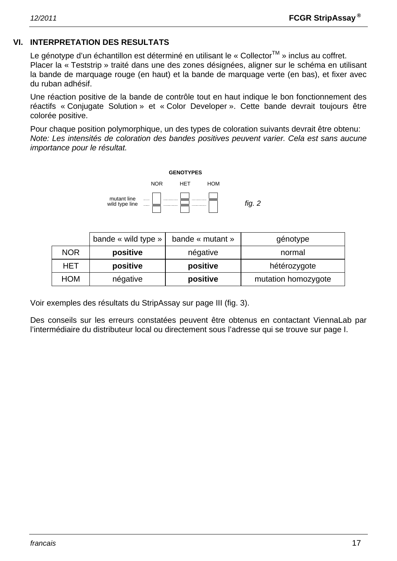#### **VI. INTERPRETATION DES RESULTATS**

Le génotype d'un échantillon est déterminé en utilisant le « Collector™ » inclus au coffret. Placer la « Teststrip » traité dans une des zones désignées, aligner sur le schéma en utilisant la bande de marquage rouge (en haut) et la bande de marquage verte (en bas), et fixer avec du ruban adhésif.

Une réaction positive de la bande de contrôle tout en haut indique le bon fonctionnement des réactifs « Conjugate Solution » et « Color Developer ». Cette bande devrait toujours être colorée positive.

Pour chaque position polymorphique, un des types de coloration suivants devrait être obtenu: *Note: Les intensités de coloration des bandes positives peuvent varier. Cela est sans aucune importance pour le résultat.* 



|            | bande « wild type » | bande « mutant »                | génotype |  |
|------------|---------------------|---------------------------------|----------|--|
| <b>NOR</b> | positive            | négative                        | normal   |  |
| HET        | positive            | positive<br>hétérozygote        |          |  |
| HOM        | négative            | positive<br>mutation homozygote |          |  |

Voir exemples des résultats du StripAssay sur page III (fig. 3).

Des conseils sur les erreurs constatées peuvent être obtenus en contactant ViennaLab par l'intermédiaire du distributeur local ou directement sous l'adresse qui se trouve sur page I.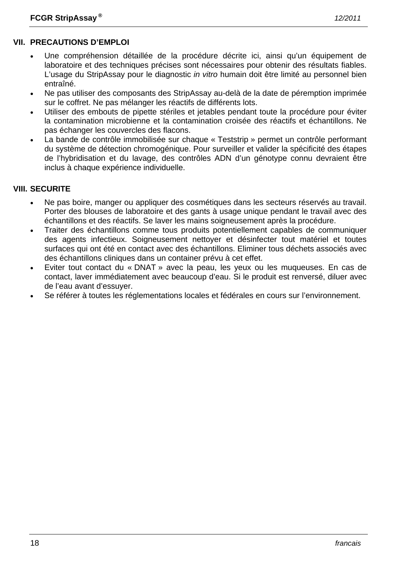- Une compréhension détaillée de la procédure décrite ici, ainsi qu'un équipement de laboratoire et des techniques précises sont nécessaires pour obtenir des résultats fiables. L'usage du StripAssay pour le diagnostic *in vitro* humain doit être limité au personnel bien entraîné.
- Ne pas utiliser des composants des StripAssay au-delà de la date de péremption imprimée sur le coffret. Ne pas mélanger les réactifs de différents lots.
- Utiliser des embouts de pipette stériles et jetables pendant toute la procédure pour éviter la contamination microbienne et la contamination croisée des réactifs et échantillons. Ne pas échanger les couvercles des flacons.
- La bande de contrôle immobilisée sur chaque « Teststrip » permet un contrôle performant du système de détection chromogénique. Pour surveiller et valider la spécificité des étapes de l'hybridisation et du lavage, des contrôles ADN d'un génotype connu devraient être inclus à chaque expérience individuelle.

### **VIII. SECURITE**

- Ne pas boire, manger ou appliquer des cosmétiques dans les secteurs réservés au travail. Porter des blouses de laboratoire et des gants à usage unique pendant le travail avec des échantillons et des réactifs. Se laver les mains soigneusement après la procédure.
- Traiter des échantillons comme tous produits potentiellement capables de communiquer des agents infectieux. Soigneusement nettoyer et désinfecter tout matériel et toutes surfaces qui ont été en contact avec des échantillons. Eliminer tous déchets associés avec des échantillons cliniques dans un container prévu à cet effet.
- Eviter tout contact du « DNAT » avec la peau, les yeux ou les muqueuses. En cas de contact, laver immédiatement avec beaucoup d'eau. Si le produit est renversé, diluer avec de l'eau avant d'essuyer.
- Se référer à toutes les réglementations locales et fédérales en cours sur l'environnement.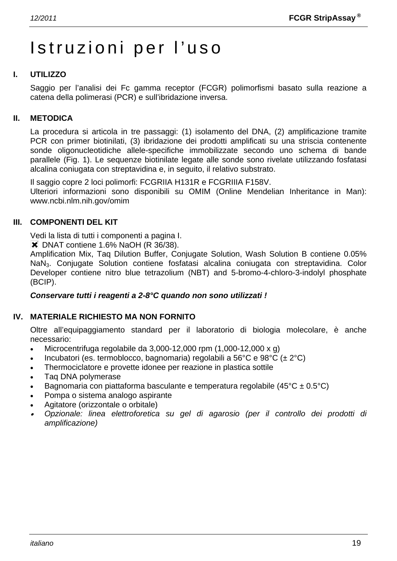# Istruzioni per l'uso

#### **I. UTILIZZO**

Saggio per l'analisi dei Fc gamma receptor (FCGR) polimorfismi basato sulla reazione a catena della polimerasi (PCR) e sull'ibridazione inversa.

#### **II. METODICA**

La procedura si articola in tre passaggi: (1) isolamento del DNA, (2) amplificazione tramite PCR con primer biotinilati, (3) ibridazione dei prodotti amplificati su una striscia contenente sonde oligonucleotidiche allele-specifiche immobilizzate secondo uno schema di bande parallele (Fig. 1). Le sequenze biotinilate legate alle sonde sono rivelate utilizzando fosfatasi alcalina coniugata con streptavidina e, in seguito, il relativo substrato.

Il saggio copre 2 loci polimorfi: FCGRIIA H131R e FCGRIIIA F158V.

Ulteriori informazioni sono disponibili su OMIM (Online Mendelian Inheritance in Man): www.ncbi.nlm.nih.gov/omim

#### **III. COMPONENTI DEL KIT**

Vedi la lista di tutti i componenti a pagina I.

**X** DNAT contiene 1.6% NaOH (R 36/38).

Amplification Mix, Taq Dilution Buffer, Conjugate Solution, Wash Solution B contiene 0.05% NaN3. Conjugate Solution contiene fosfatasi alcalina coniugata con streptavidina. Color Developer contiene nitro blue tetrazolium (NBT) and 5-bromo-4-chloro-3-indolyl phosphate (BCIP).

#### *Conservare tutti i reagenti a 2-8°C quando non sono utilizzati !*

#### **IV. MATERIALE RICHIESTO MA NON FORNITO**

Oltre all'equipaggiamento standard per il laboratorio di biologia molecolare, è anche necessario:

- Microcentrifuga regolabile da  $3.000-12.000$  rpm  $(1.000-12.000 \times g)$
- Incubatori (es. termoblocco, bagnomaria) regolabili a 56°C e 98°C ( $\pm$  2°C)
- Thermociclatore e provette idonee per reazione in plastica sottile
- Taq DNA polymerase
- Bagnomaria con piattaforma basculante e temperatura regolabile (45 $^{\circ}$ C ± 0.5 $^{\circ}$ C)
- Pompa o sistema analogo aspirante
- Agitatore (orizzontale o orbitale)
- • *Opzionale: linea elettroforetica su gel di agarosio (per il controllo dei prodotti di amplificazione)*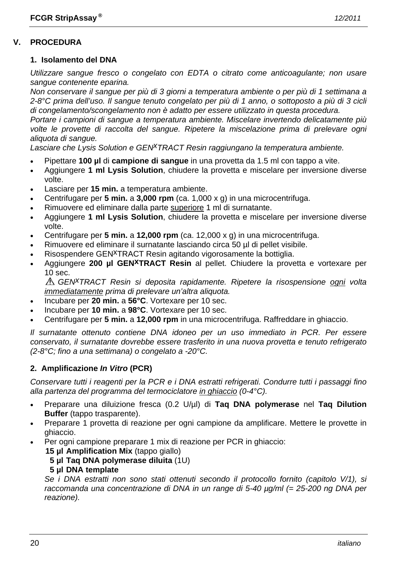#### **V. PROCEDURA**

#### **1. Isolamento del DNA**

*Utilizzare sangue fresco o congelato con EDTA o citrato come anticoagulante; non usare sangue contenente eparina.* 

*Non conservare il sangue per più di 3 giorni a temperatura ambiente o per più di 1 settimana a 2-8°C prima dell'uso. Il sangue tenuto congelato per più di 1 anno, o sottoposto a più di 3 cicli di congelamento/scongelamento non è adatto per essere utilizzato in questa procedura.* 

*Portare i campioni di sangue a temperatura ambiente. Miscelare invertendo delicatamente più volte le provette di raccolta del sangue. Ripetere la miscelazione prima di prelevare ogni aliquota di sangue.* 

Lasciare che Lysis Solution e GEN<sup>X</sup>TRACT Resin raggiungano la temperatura ambiente.

- Pipettare **100 µl** di **campione di sangue** in una provetta da 1.5 ml con tappo a vite.
- Aggiungere **1 ml Lysis Solution**, chiudere la provetta e miscelare per inversione diverse volte.
- Lasciare per **15 min.** a temperatura ambiente.
- Centrifugare per **5 min.** a **3,000 rpm** (ca. 1,000 x g) in una microcentrifuga.
- Rimuovere ed eliminare dalla parte superiore 1 ml di surnatante.
- Aggiungere **1 ml Lysis Solution**, chiudere la provetta e miscelare per inversione diverse volte.
- Centrifugare per **5 min.** a **12,000 rpm** (ca. 12,000 x g) in una microcentrifuga.
- Rimuovere ed eliminare il surnatante lasciando circa 50 µl di pellet visibile.
- Risospendere GEN<sup>X</sup>TRACT Resin agitando vigorosamente la bottiglia.
- Aggiungere **200 µl GENxTRACT Resin** al pellet. Chiudere la provetta e vortexare per 10 sec.

*GENxTRACT Resin si deposita rapidamente. Ripetere la risospensione ogni volta immediatamente prima di prelevare un'altra aliquota.* 

- Incubare per **20 min.** a **56°C**. Vortexare per 10 sec.
- Incubare per **10 min.** a **98°C**. Vortexare per 10 sec.
- Centrifugare per **5 min.** a **12,000 rpm** in una microcentrifuga. Raffreddare in ghiaccio.

*Il surnatante ottenuto contiene DNA idoneo per un uso immediato in PCR. Per essere conservato, il surnatante dovrebbe essere trasferito in una nuova provetta e tenuto refrigerato (2-8°C; fino a una settimana) o congelato a -20°C.* 

#### **2. Amplificazione** *In Vitro* **(PCR)**

*Conservare tutti i reagenti per la PCR e i DNA estratti refrigerati. Condurre tutti i passaggi fino alla partenza del programma del termociclatore in ghiaccio (0-4°C).* 

- Preparare una diluizione fresca (0.2 U/µl) di **Taq DNA polymerase** nel **Taq Dilution Buffer** (tappo trasparente).
- Preparare 1 provetta di reazione per ogni campione da amplificare. Mettere le provette in ghiaccio.
	- Per ogni campione preparare 1 mix di reazione per PCR in ghiaccio:
		- **15 µl Amplification Mix** (tappo giallo)
			- **5 µl Taq DNA polymerase diluita** (1U)

#### **5 µl DNA template**

 *Se i DNA estratti non sono stati ottenuti secondo il protocollo fornito (capitolo V/1), si raccomanda una concentrazione di DNA in un range di 5-40 µg/ml (= 25-200 ng DNA per reazione).*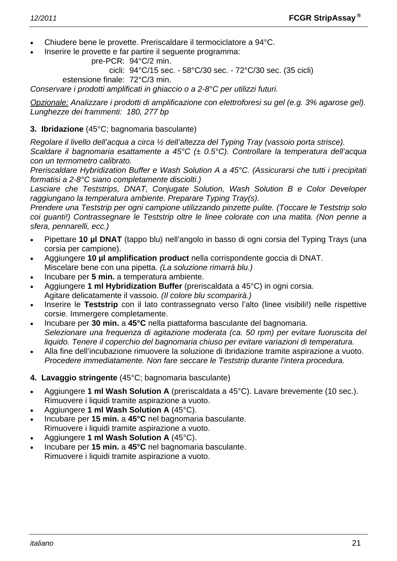- Chiudere bene le provette. Preriscaldare il termociclatore a 94°C.
- Inserire le provette e far partire il seguente programma:

```
 pre-PCR: 94°C/2 min.
```
cicli: 94°C/15 sec. - 58°C/30 sec. - 72°C/30 sec. (35 cicli)

estensione finale: 72°C/3 min.

*Conservare i prodotti amplificati in ghiaccio o a 2-8°C per utilizzi futuri.* 

*Opzionale: Analizzare i prodotti di amplificazione con elettroforesi su gel (e.g. 3% agarose gel). Lunghezze dei frammenti: 180, 277 bp* 

#### **3. Ibridazione** (45°C; bagnomaria basculante)

*Regolare il livello dell'acqua a circa ½ dell'altezza del Typing Tray (vassoio porta strisce).* 

*Scaldare il bagnomaria esattamente a 45°C (± 0.5°C). Controllare la temperatura dell'acqua con un termometro calibrato.* 

*Preriscaldare Hybridization Buffer e Wash Solution A a 45°C. (Assicurarsi che tutti i precipitati formatisi a 2-8°C siano completamente disciolti.)* 

*Lasciare che Teststrips, DNAT, Conjugate Solution, Wash Solution B e Color Developer raggiungano la temperatura ambiente. Preparare Typing Tray(s).* 

*Prendere una Teststrip per ogni campione utilizzando pinzette pulite. (Toccare le Teststrip solo coi guanti!) Contrassegnare le Teststrip oltre le linee colorate con una matita. (Non penne a sfera, pennarelli, ecc.)* 

- Pipettare **10 µl DNAT** (tappo blu) nell'angolo in basso di ogni corsia del Typing Trays (una corsia per campione).
- Aggiungere **10 µl amplification product** nella corrispondente goccia di DNAT. Miscelare bene con una pipetta. *(La soluzione rimarrà blu.)*
- Incubare per **5 min.** a temperatura ambiente.
- Aggiungere **1 ml Hybridization Buffer** (preriscaldata a 45°C) in ogni corsia. Agitare delicatamente il vassoio. *(Il colore blu scomparirà.)*
- Inserire le **Teststrip** con il lato contrassegnato verso l'alto (linee visibili!) nelle rispettive corsie. Immergere completamente.
- Incubare per **30 min.** a **45°C** nella piattaforma basculante del bagnomaria.  *Selezionare una frequenza di agitazione moderata (ca. 50 rpm) per evitare fuoruscita del liquido. Tenere il coperchio del bagnomaria chiuso per evitare variazioni di temperatura.*
- Alla fine dell'incubazione rimuovere la soluzione di ibridazione tramite aspirazione a vuoto.  *Procedere immediatamente. Non fare seccare le Teststrip durante l'intera procedura.*
- **4. Lavaggio stringente** (45°C; bagnomaria basculante)
- Aggiungere **1 ml Wash Solution A** (preriscaldata a 45°C). Lavare brevemente (10 sec.). Rimuovere i liquidi tramite aspirazione a vuoto.
- Aggiungere **1 ml Wash Solution A** (45°C).
- Incubare per **15 min.** a **45°C** nel bagnomaria basculante. Rimuovere i liquidi tramite aspirazione a vuoto.
- Aggiungere **1 ml Wash Solution A** (45°C).
- Incubare per **15 min.** a **45°C** nel bagnomaria basculante. Rimuovere i liquidi tramite aspirazione a vuoto.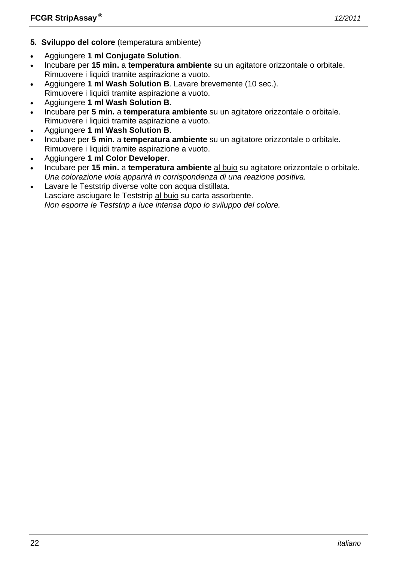- **5. Sviluppo del colore** (temperatura ambiente)
- Aggiungere **1 ml Conjugate Solution**.
- Incubare per **15 min.** a **temperatura ambiente** su un agitatore orizzontale o orbitale. Rimuovere i liquidi tramite aspirazione a vuoto.
- Aggiungere **1 ml Wash Solution B**. Lavare brevemente (10 sec.). Rimuovere i liquidi tramite aspirazione a vuoto.
- Aggiungere **1 ml Wash Solution B**.
- Incubare per **5 min.** a **temperatura ambiente** su un agitatore orizzontale o orbitale. Rimuovere i liquidi tramite aspirazione a vuoto.
- Aggiungere **1 ml Wash Solution B**.
- Incubare per **5 min.** a **temperatura ambiente** su un agitatore orizzontale o orbitale. Rimuovere i liquidi tramite aspirazione a vuoto.
- Aggiungere **1 ml Color Developer**.
- Incubare per **15 min.** a **temperatura ambiente** al buio su agitatore orizzontale o orbitale.  *Una colorazione viola apparirà in corrispondenza di una reazione positiva.*
- Lavare le Teststrip diverse volte con acqua distillata. Lasciare asciugare le Teststrip al buio su carta assorbente.  *Non esporre le Teststrip a luce intensa dopo lo sviluppo del colore.*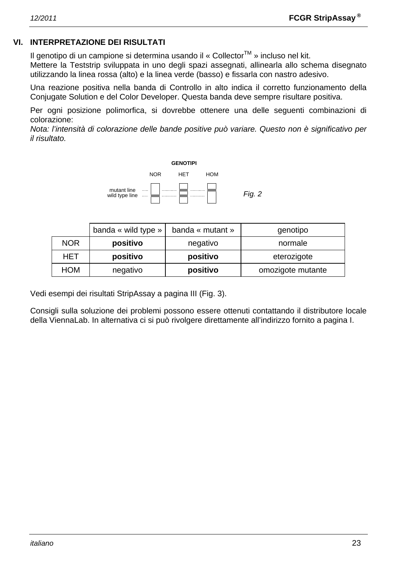# **VI. INTERPRETAZIONE DEI RISULTATI**

Il genotipo di un campione si determina usando il « Collector<sup>TM</sup> » incluso nel kit.

Mettere la Teststrip sviluppata in uno degli spazi assegnati, allinearla allo schema disegnato utilizzando la linea rossa (alto) e la linea verde (basso) e fissarla con nastro adesivo.

Una reazione positiva nella banda di Controllo in alto indica il corretto funzionamento della Conjugate Solution e del Color Developer. Questa banda deve sempre risultare positiva.

Per ogni posizione polimorfica, si dovrebbe ottenere una delle seguenti combinazioni di colorazione:

*Nota: l'intensità di colorazione delle bande positive può variare. Questo non è significativo per il risultato.* 



|            | banda « wild type » | banda « mutant »              | genotipo    |  |
|------------|---------------------|-------------------------------|-------------|--|
| <b>NOR</b> | positivo            | negativo                      | normale     |  |
| HET        | positivo            | positivo                      | eterozigote |  |
| <b>HOM</b> | negativo            | omozigote mutante<br>positivo |             |  |

Vedi esempi dei risultati StripAssay a pagina III (Fig. 3).

Consigli sulla soluzione dei problemi possono essere ottenuti contattando il distributore locale della ViennaLab. In alternativa ci si può rivolgere direttamente all'indirizzo fornito a pagina I.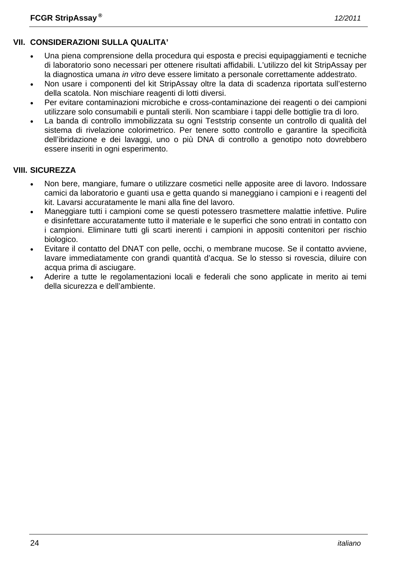### **VII. CONSIDERAZIONI SULLA QUALITA'**

- Una piena comprensione della procedura qui esposta e precisi equipaggiamenti e tecniche di laboratorio sono necessari per ottenere risultati affidabili. L'utilizzo del kit StripAssay per la diagnostica umana *in vitro* deve essere limitato a personale correttamente addestrato.
- Non usare i componenti del kit StripAssay oltre la data di scadenza riportata sull'esterno della scatola. Non mischiare reagenti di lotti diversi.
- Per evitare contaminazioni microbiche e cross-contaminazione dei reagenti o dei campioni utilizzare solo consumabili e puntali sterili. Non scambiare i tappi delle bottiglie tra di loro.
- La banda di controllo immobilizzata su ogni Teststrip consente un controllo di qualità del sistema di rivelazione colorimetrico. Per tenere sotto controllo e garantire la specificità dell'ibridazione e dei lavaggi, uno o più DNA di controllo a genotipo noto dovrebbero essere inseriti in ogni esperimento.

#### **VIII. SICUREZZA**

- Non bere, mangiare, fumare o utilizzare cosmetici nelle apposite aree di lavoro. Indossare camici da laboratorio e guanti usa e getta quando si maneggiano i campioni e i reagenti del kit. Lavarsi accuratamente le mani alla fine del lavoro.
- Maneggiare tutti i campioni come se questi potessero trasmettere malattie infettive. Pulire e disinfettare accuratamente tutto il materiale e le superfici che sono entrati in contatto con i campioni. Eliminare tutti gli scarti inerenti i campioni in appositi contenitori per rischio biologico.
- Evitare il contatto del DNAT con pelle, occhi, o membrane mucose. Se il contatto avviene, lavare immediatamente con grandi quantità d'acqua. Se lo stesso si rovescia, diluire con acqua prima di asciugare.
- Aderire a tutte le regolamentazioni locali e federali che sono applicate in merito ai temi della sicurezza e dell'ambiente.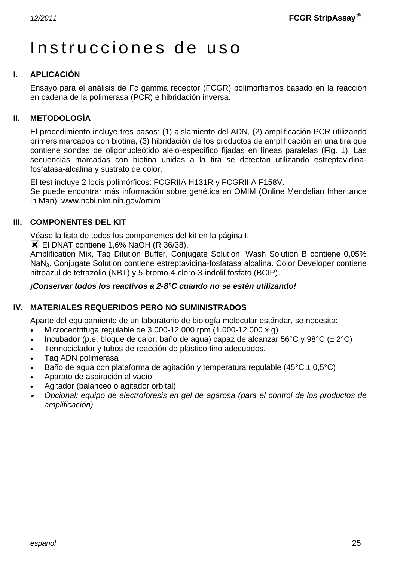# Instrucciones de uso

#### **I. APLICACIÓN**

Ensayo para el análisis de Fc gamma receptor (FCGR) polimorfismos basado en la reacción en cadena de la polimerasa (PCR) e hibridación inversa.

#### **II. METODOLOGÍA**

El procedimiento incluye tres pasos: (1) aislamiento del ADN, (2) amplificación PCR utilizando primers marcados con biotina, (3) hibridación de los productos de amplificación en una tira que contiene sondas de oligonucleótido alelo-específico fijadas en líneas paralelas (Fig. 1). Las secuencias marcadas con biotina unidas a la tira se detectan utilizando estreptavidinafosfatasa-alcalina y sustrato de color.

El test incluye 2 locis polimórficos: FCGRIIA H131R y FCGRIIIA F158V.

Se puede encontrar más información sobre genética en OMIM (Online Mendelian Inheritance in Man): www.ncbi.nlm.nih.gov/omim

#### **III. COMPONENTES DEL KIT**

Véase la lista de todos los componentes del kit en la página I.

**X** El DNAT contiene 1,6% NaOH (R 36/38).

Amplification Mix, Taq Dilution Buffer, Conjugate Solution, Wash Solution B contiene 0,05% NaN3. Conjugate Solution contiene estreptavidina-fosfatasa alcalina. Color Developer contiene nitroazul de tetrazolio (NBT) y 5-bromo-4-cloro-3-indolil fosfato (BCIP).

#### *¡Conservar todos los reactivos a 2-8°C cuando no se estén utilizando!*

#### **IV. MATERIALES REQUERIDOS PERO NO SUMINISTRADOS**

Aparte del equipamiento de un laboratorio de biología molecular estándar, se necesita:

- Microcentrifuga regulable de 3.000-12.000 rpm (1.000-12.000 x g)
- Incubador (p.e. bloque de calor, baño de agua) capaz de alcanzar 56°C y 98°C (± 2°C)
- Termociclador y tubos de reacción de plástico fino adecuados.
- Taq ADN polimerasa
- Baño de agua con plataforma de agitación y temperatura regulable (45 $^{\circ}$ C ± 0,5 $^{\circ}$ C)
- Aparato de aspiración al vacío
- Agitador (balanceo o agitador orbital)
- • *Opcional: equipo de electroforesis en gel de agarosa (para el control de los productos de amplificación)*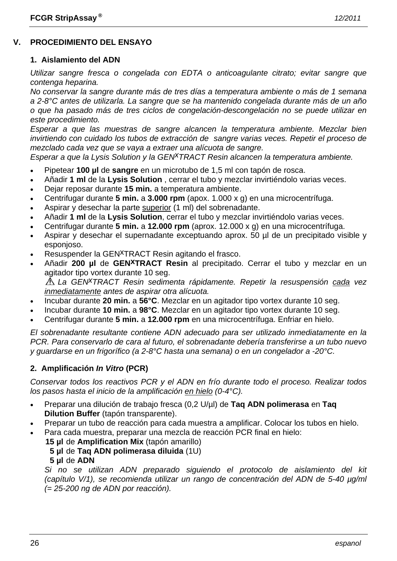#### **V. PROCEDIMIENTO DEL ENSAYO**

#### **1. Aislamiento del ADN**

*Utilizar sangre fresca o congelada con EDTA o anticoagulante citrato; evitar sangre que contenga heparina.* 

*No conservar la sangre durante más de tres días a temperatura ambiente o más de 1 semana a 2-8°C antes de utilizarla. La sangre que se ha mantenido congelada durante más de un año o que ha pasado más de tres ciclos de congelación-descongelación no se puede utilizar en este procedimiento.* 

*Esperar a que las muestras de sangre alcancen la temperatura ambiente. Mezclar bien invirtiendo con cuidado los tubos de extracción de sangre varias veces. Repetir el proceso de mezclado cada vez que se vaya a extraer una alícuota de sangre.* 

*Esperar a que la Lysis Solution y la GENxTRACT Resin alcancen la temperatura ambiente.*

- Pipetear **100 µl** de **sangre** en un microtubo de 1,5 ml con tapón de rosca.
- Añadir **1 ml** de la **Lysis Solution** , cerrar el tubo y mezclar invirtiéndolo varias veces.
- Dejar reposar durante **15 min.** a temperatura ambiente.
- Centrifugar durante **5 min.** a **3.000 rpm** (apox. 1.000 x g) en una microcentrífuga.
- Aspirar y desechar la parte superior (1 ml) del sobrenadante.
- Añadir **1 ml** de la **Lysis Solution**, cerrar el tubo y mezclar invirtiéndolo varias veces.
- Centrifugar durante **5 min.** a **12.000 rpm** (aprox. 12.000 x g) en una microcentrífuga.
- Aspirar y desechar el supernadante exceptuando aprox. 50 µl de un precipitado visible y esponjoso.
- Resuspender la GEN<sup>X</sup>TRACT Resin agitando el frasco.
- Añadir **200 µl** de **GENxTRACT Resin** al precipitado. Cerrar el tubo y mezclar en un agitador tipo vortex durante 10 seg.

*La GENxTRACT Resin sedimenta rápidamente. Repetir la resuspensión cada vez inmediatamente antes de aspirar otra alícuota.* 

- Incubar durante **20 min.** a **56°C**. Mezclar en un agitador tipo vortex durante 10 seg.
- Incubar durante **10 min.** a **98°C**. Mezclar en un agitador tipo vortex durante 10 seg.
- Centrifugar durante **5 min.** a **12.000 rpm** en una microcentrífuga. Enfriar en hielo.

*El sobrenadante resultante contiene ADN adecuado para ser utilizado inmediatamente en la PCR. Para conservarlo de cara al futuro, el sobrenadante debería transferirse a un tubo nuevo y guardarse en un frigorífico (a 2-8°C hasta una semana) o en un congelador a -20°C.* 

#### **2. Amplificación** *In Vitro* **(PCR)**

*Conservar todos los reactivos PCR y el ADN en frío durante todo el proceso. Realizar todos los pasos hasta el inicio de la amplificación en hielo (0-4°C).* 

- Preparar una dilución de trabajo fresca (0,2 U/µl) de **Taq ADN polimerasa** en **Taq Dilution Buffer** (tapón transparente).
- Preparar un tubo de reacción para cada muestra a amplificar. Colocar los tubos en hielo.
- Para cada muestra, preparar una mezcla de reacción PCR final en hielo:
	- **15 µl** de **Amplification Mix** (tapón amarillo)
		- **5 µl** de **Taq ADN polimerasa diluida** (1U)
		- **5 µl** de **ADN**

 *Si no se utilizan ADN preparado siguiendo el protocolo de aislamiento del kit (capítulo V/1), se recomienda utilizar un rango de concentración del ADN de 5-40 µg/ml (= 25-200 ng de ADN por reacción).*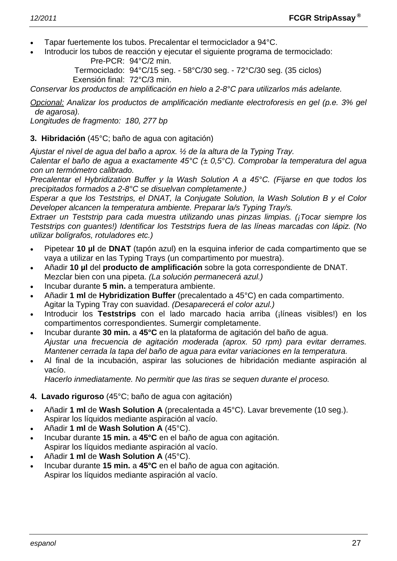- Tapar fuertemente los tubos. Precalentar el termociclador a 94°C.
- Introducir los tubos de reacción y ejecutar el siguiente programa de termociclado: Pre-PCR: 94°C/2 min.

 Termociclado: 94°C/15 seg. - 58°C/30 seg. - 72°C/30 seg. (35 ciclos) Exensión final: 72°C/3 min.

*Conservar los productos de amplificación en hielo a 2-8°C para utilizarlos más adelante.* 

*Opcional: Analizar los productos de amplificación mediante electroforesis en gel (p.e. 3% gel de agarosa).* 

*Longitudes de fragmento: 180, 277 bp* 

#### **3. Hibridación** (45°C; baño de agua con agitación)

*Ajustar el nivel de agua del baño a aprox. ½ de la altura de la Typing Tray.* 

*Calentar el baño de agua a exactamente 45°C (± 0,5°C). Comprobar la temperatura del agua con un termómetro calibrado.* 

*Precalentar el Hybridization Buffer y la Wash Solution A a 45°C. (Fijarse en que todos los precipitados formados a 2-8°C se disuelvan completamente.)* 

*Esperar a que los Teststrips, el DNAT, la Conjugate Solution, la Wash Solution B y el Color Developer alcancen la temperatura ambiente. Preparar la/s Typing Tray/s.* 

*Extraer un Teststrip para cada muestra utilizando unas pinzas limpias. (¡Tocar siempre los Teststrips con guantes!) Identificar los Teststrips fuera de las líneas marcadas con lápiz. (No utilizar bolígrafos, rotuladores etc.)* 

- Pipetear **10 µl** de **DNAT** (tapón azul) en la esquina inferior de cada compartimento que se vaya a utilizar en las Typing Trays (un compartimento por muestra).
- Añadir **10 µl** del **producto de amplificación** sobre la gota correspondiente de DNAT. Mezclar bien con una pipeta. *(La solución permanecerá azul.)*
- Incubar durante **5 min.** a temperatura ambiente.
- Añadir **1 ml** de **Hybridization Buffer** (precalentado a 45°C) en cada compartimento. Agitar la Typing Tray con suavidad. *(Desaparecerá el color azul.)*
- Introducir los **Teststrips** con el lado marcado hacia arriba (¡líneas visibles!) en los compartimentos correspondientes. Sumergir completamente.
- Incubar durante **30 min.** a **45°C** en la plataforma de agitación del baño de agua.  *Ajustar una frecuencia de agitación moderada (aprox. 50 rpm) para evitar derrames. Mantener cerrada la tapa del baño de agua para evitar variaciones en la temperatura.*
- Al final de la incubación, aspirar las soluciones de hibridación mediante aspiración al vacío.

 *Hacerlo inmediatamente. No permitir que las tiras se sequen durante el proceso.* 

- **4. Lavado riguroso** (45°C; baño de agua con agitación)
- Añadir **1 ml** de **Wash Solution A** (precalentada a 45°C). Lavar brevemente (10 seg.). Aspirar los líquidos mediante aspiración al vacío.
- Añadir **1 ml** de **Wash Solution A** (45°C).
- Incubar durante **15 min.** a **45°C** en el baño de agua con agitación. Aspirar los líquidos mediante aspiración al vacío.
- Añadir **1 ml** de **Wash Solution A** (45°C).
- Incubar durante **15 min.** a **45°C** en el baño de agua con agitación. Aspirar los líquidos mediante aspiración al vacío.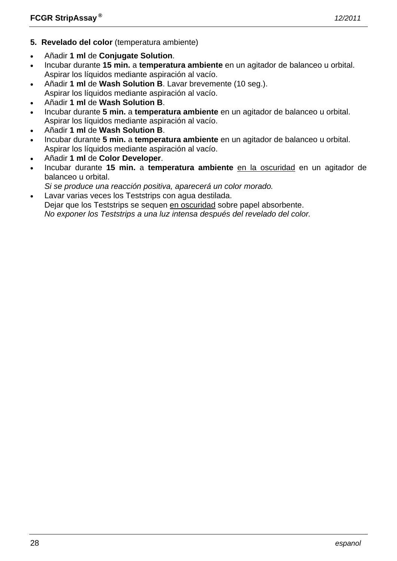- **5. Revelado del color** (temperatura ambiente)
- Añadir **1 ml** de **Conjugate Solution**.
- Incubar durante **15 min.** a **temperatura ambiente** en un agitador de balanceo u orbital. Aspirar los líquidos mediante aspiración al vacío.
- Añadir **1 ml** de **Wash Solution B**. Lavar brevemente (10 seg.).
- Aspirar los líquidos mediante aspiración al vacío.
- Añadir **1 ml** de **Wash Solution B**.
- Incubar durante **5 min.** a **temperatura ambiente** en un agitador de balanceo u orbital. Aspirar los líquidos mediante aspiración al vacío.
- Añadir **1 ml** de **Wash Solution B**.
- Incubar durante **5 min.** a **temperatura ambiente** en un agitador de balanceo u orbital. Aspirar los líquidos mediante aspiración al vacío.
- Añadir **1 ml** de **Color Developer**.
- Incubar durante **15 min.** a **temperatura ambiente** en la oscuridad en un agitador de balanceo u orbital.
- *Si se produce una reacción positiva, aparecerá un color morado.*
- Lavar varias veces los Teststrips con agua destilada. Dejar que los Teststrips se sequen en oscuridad sobre papel absorbente.  *No exponer los Teststrips a una luz intensa después del revelado del color.*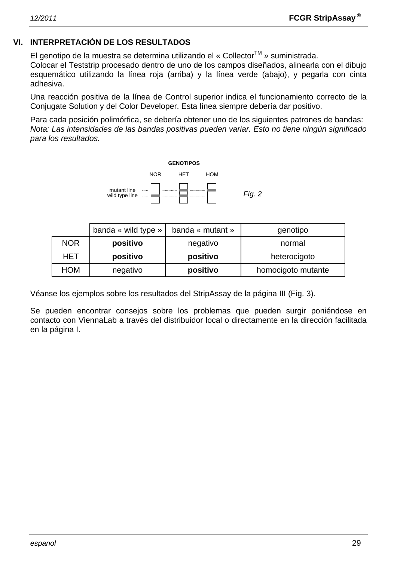#### **VI. INTERPRETACIÓN DE LOS RESULTADOS**

El genotipo de la muestra se determina utilizando el « Collector<sup>™</sup> » suministrada.

Colocar el Teststrip procesado dentro de uno de los campos diseñados, alinearla con el dibujo esquemático utilizando la línea roja (arriba) y la línea verde (abajo), y pegarla con cinta adhesiva.

Una reacción positiva de la línea de Control superior indica el funcionamiento correcto de la Conjugate Solution y del Color Developer. Esta línea siempre debería dar positivo.

Para cada posición polimórfica, se debería obtener uno de los siguientes patrones de bandas: *Nota: Las intensidades de las bandas positivas pueden variar. Esto no tiene ningún significado para los resultados.* 



|            | banda « wild type » | banda « mutant » | genotipo           |  |
|------------|---------------------|------------------|--------------------|--|
| <b>NOR</b> | positivo            | negativo         | normal             |  |
| HET        | positivo            | positivo         | heterocigoto       |  |
| <b>HOM</b> | negativo            | positivo         | homocigoto mutante |  |

Véanse los ejemplos sobre los resultados del StripAssay de la página III (Fig. 3).

Se pueden encontrar consejos sobre los problemas que pueden surgir poniéndose en contacto con ViennaLab a través del distribuidor local o directamente en la dirección facilitada en la página I.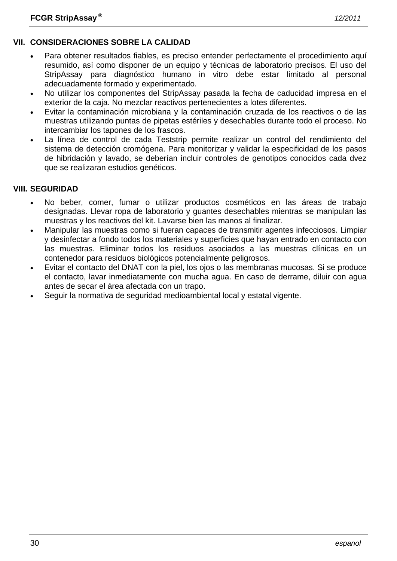# **VII. CONSIDERACIONES SOBRE LA CALIDAD**

- Para obtener resultados fiables, es preciso entender perfectamente el procedimiento aquí resumido, así como disponer de un equipo y técnicas de laboratorio precisos. El uso del StripAssay para diagnóstico humano in vitro debe estar limitado al personal adecuadamente formado y experimentado.
- No utilizar los componentes del StripAssay pasada la fecha de caducidad impresa en el exterior de la caja. No mezclar reactivos pertenecientes a lotes diferentes.
- Evitar la contaminación microbiana y la contaminación cruzada de los reactivos o de las muestras utilizando puntas de pipetas estériles y desechables durante todo el proceso. No intercambiar los tapones de los frascos.
- La línea de control de cada Teststrip permite realizar un control del rendimiento del sistema de detección cromógena. Para monitorizar y validar la especificidad de los pasos de hibridación y lavado, se deberían incluir controles de genotipos conocidos cada dvez que se realizaran estudios genéticos.

#### **VIII. SEGURIDAD**

- No beber, comer, fumar o utilizar productos cosméticos en las áreas de trabajo designadas. Llevar ropa de laboratorio y guantes desechables mientras se manipulan las muestras y los reactivos del kit. Lavarse bien las manos al finalizar.
- Manipular las muestras como si fueran capaces de transmitir agentes infecciosos. Limpiar y desinfectar a fondo todos los materiales y superficies que hayan entrado en contacto con las muestras. Eliminar todos los residuos asociados a las muestras clínicas en un contenedor para residuos biológicos potencialmente peligrosos.
- Evitar el contacto del DNAT con la piel, los ojos o las membranas mucosas. Si se produce el contacto, lavar inmediatamente con mucha agua. En caso de derrame, diluir con agua antes de secar el área afectada con un trapo.
- Seguir la normativa de seguridad medioambiental local y estatal vigente.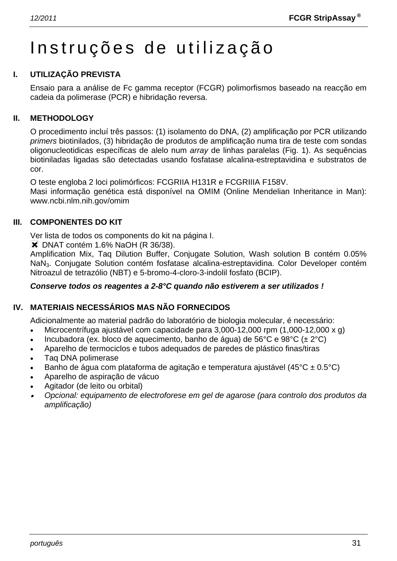# Instruções de utilização

#### **I. UTILIZAÇÃO PREVISTA**

Ensaio para a análise de Fc gamma receptor (FCGR) polimorfismos baseado na reacção em cadeia da polimerase (PCR) e hibridação reversa.

#### **II. METHODOLOGY**

O procedimento incluí três passos: (1) isolamento do DNA, (2) amplificação por PCR utilizando *primers* biotinilados, (3) hibridação de produtos de amplificação numa tira de teste com sondas oligonucleotidicas específicas de alelo num *array* de linhas paralelas (Fig. 1). As sequências biotiniladas ligadas são detectadas usando fosfatase alcalina-estreptavidina e substratos de cor.

O teste engloba 2 loci polimórficos: FCGRIIA H131R e FCGRIIIA F158V.

Masi informação genética está disponível na OMIM (Online Mendelian Inheritance in Man): www.ncbi.nlm.nih.gov/omim

#### **III. COMPONENTES DO KIT**

Ver lista de todos os components do kit na página I.

 $\blacktriangleright$  DNAT contém 1.6% NaOH (R 36/38).

Amplification Mix, Taq Dilution Buffer, Conjugate Solution, Wash solution B contém 0.05% NaN3. Conjugate Solution contém fosfatase alcalina-estreptavidina. Color Developer contém Nitroazul de tetrazólio (NBT) e 5-bromo-4-cloro-3-indolil fosfato (BCIP).

#### *Conserve todos os reagentes a 2-8°C quando não estiverem a ser utilizados !*

#### **IV. MATERIAIS NECESSÁRIOS MAS NÃO FORNECIDOS**

Adicionalmente ao material padrão do laboratório de biologia molecular, é necessário:

- Microcentrífuga ajustável com capacidade para 3,000-12,000 rpm (1,000-12,000 x g)
- Incubadora (ex. bloco de aquecimento, banho de água) de 56°C e 98°C ( $\pm$  2°C)
- Aparelho de termociclos e tubos adequados de paredes de plástico finas/tiras
- Taq DNA polimerase
- Banho de água com plataforma de agitação e temperatura ajustável (45°C ± 0.5°C)
- Aparelho de aspiração de vácuo
- Agitador (de leito ou orbital)
- • *Opcional: equipamento de electroforese em gel de agarose (para controlo dos produtos da amplificação)*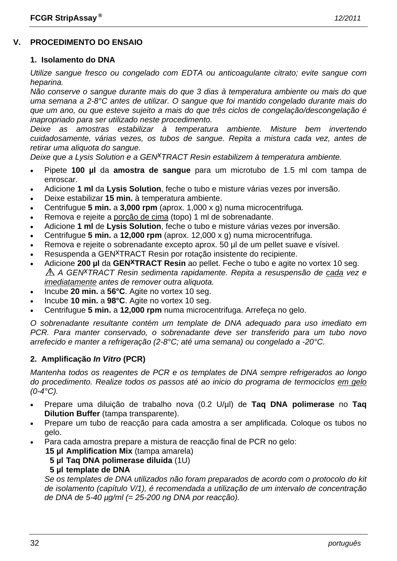### **V. PROCEDIMENTO DO ENSAIO**

#### **1. Isolamento do DNA**

*Utilize sangue fresco ou congelado com EDTA ou anticoagulante citrato; evite sangue com heparina.* 

*Não conserve o sangue durante mais do que 3 dias à temperatura ambiente ou mais do que uma semana a 2-8°C antes de utilizar. O sangue que foi mantido congelado durante mais do que um ano, ou que esteve sujeito a mais do que três ciclos de congelação/descongelação é inapropriado para ser utilizado neste procedimento.* 

*Deixe as amostras estabilizar à temperatura ambiente. Misture bem invertendo cuidadosamente, várias vezes, os tubos de sangue. Repita a mistura cada vez, antes de retirar uma aliquota do sangue.* 

*Deixe que a Lysis Solution e a GENxTRACT Resin estabilizem à temperatura ambiente.*

- Pipete **100 µl** da **amostra de sangue** para um microtubo de 1.5 ml com tampa de enroscar.
- Adicione **1 ml** da **Lysis Solution**, feche o tubo e misture várias vezes por inversão.
- Deixe estabilizar **15 min.** à temperatura ambiente.
- Centrifugue **5 min.** a **3,000 rpm** (aprox. 1,000 x g) numa microcentrifuga.
- Remova e rejeite a porção de cima (topo) 1 ml de sobrenadante.
- Adicione **1 ml** de **Lysis Solution**, feche o tubo e misture várias vezes por inversão.
- Centrifugue **5 min.** a **12,000 rpm** (aprox. 12,000 x g) numa microcentrifuga.
- Remova e rejeite o sobrenadante excepto aprox. 50 µl de um pellet suave e vísivel.
- Resuspenda a GEN<sup>X</sup>TRACT Resin por rotação insistente do recipiente.
- Adicione **200 µl** da **GENxTRACT Resin** ao pellet. Feche o tubo e agite no vortex 10 seg. *A GENxTRACT Resin sedimenta rapidamente. Repita a resuspensão de cada vez e imediatamente antes de remover outra aliquota.*
- Incube **20 min.** a **56°C**. Agite no vortex 10 seg.
- Incube **10 min.** a **98°C**. Agite no vortex 10 seg.
- Centrifugue **5 min.** a **12,000 rpm** numa microcentrifuga. Arrefeça no gelo.

*O sobrenadante resultante contém um template de DNA adequado para uso imediato em PCR. Para manter conservado, o sobrenadante deve ser transferido para um tubo novo arrefecido e manter a refrigeração (2-8°C; até uma semana) ou congelado a -20°C.* 

#### **2. Amplificação** *In Vitro* **(PCR)**

*Mantenha todos os reagentes de PCR e os templates de DNA sempre refrigerados ao longo do procedimento. Realize todos os passos até ao inicio do programa de termociclos em gelo (0-4°C).* 

- Prepare uma diluição de trabalho nova (0.2 U/µl) de **Taq DNA polimerase** no **Taq Dilution Buffer** (tampa transparente).
- Prepare um tubo de reacção para cada amostra a ser amplificada. Coloque os tubos no gelo.
	- Para cada amostra prepare a mistura de reacção final de PCR no gelo:
		- **15 µl Amplification Mix** (tampa amarela)
			- **5 µl Taq DNA polimerase diluida** (1U)

#### **5 µl template de DNA**

 *Se os templates de DNA utilizados não foram preparados de acordo com o protocolo do kit de isolamento (capítulo V/1), é recomendada a utilização de um intervalo de concentração de DNA de 5-40 µg/ml (= 25-200 ng DNA por reacção).*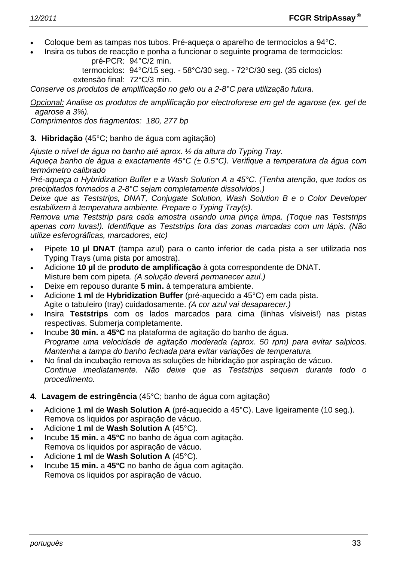- Coloque bem as tampas nos tubos. Pré-aqueça o aparelho de termociclos a 94°C.
- Insira os tubos de reacção e ponha a funcionar o seguinte programa de termociclos: pré-PCR: 94°C/2 min.

 termociclos: 94°C/15 seg. - 58°C/30 seg. - 72°C/30 seg. (35 ciclos) extensão final: 72°C/3 min.

*Conserve os produtos de amplificação no gelo ou a 2-8°C para utilização futura.* 

*Opcional: Analise os produtos de amplificação por electroforese em gel de agarose (ex. gel de agarose a 3%).* 

*Comprimentos dos fragmentos: 180, 277 bp* 

**3. Hibridação** (45°C; banho de água com agitação)

*Ajuste o nível de água no banho até aprox. ½ da altura do Typing Tray.* 

*Aqueça banho de água a exactamente 45°C (± 0.5°C). Verifique a temperatura da água com termómetro calibrado* 

*Pré-aqueça o Hybridization Buffer e a Wash Solution A a 45°C. (Tenha atenção, que todos os precipitados formados a 2-8°C sejam completamente dissolvidos.)* 

*Deixe que as Teststrips, DNAT, Conjugate Solution, Wash Solution B e o Color Developer estabilizem à temperatura ambiente. Prepare o Typing Tray(s).* 

*Remova uma Teststrip para cada amostra usando uma pinça limpa. (Toque nas Teststrips apenas com luvas!). Identifique as Teststrips fora das zonas marcadas com um lápis. (Não utilize esferográficas, marcadores, etc)* 

- Pipete **10 µl DNAT** (tampa azul) para o canto inferior de cada pista a ser utilizada nos Typing Trays (uma pista por amostra).
- Adicione **10 µl** de **produto de amplificação** à gota correspondente de DNAT. Misture bem com pipeta. *(A solução deverá permanecer azul.)*
- Deixe em repouso durante **5 min.** à temperatura ambiente.
- Adicione **1 ml** de **Hybridization Buffer** (pré-aquecido a 45°C) em cada pista. Agite o tabuleiro (tray) cuidadosamente. *(A cor azul vai desaparecer.)*
- Insira **Teststrips** com os lados marcados para cima (linhas vísiveis!) nas pistas respectivas. Submerja completamente.
- Incube **30 min.** a **45°C** na plataforma de agitação do banho de água.  *Programe uma velocidade de agitação moderada (aprox. 50 rpm) para evitar salpicos. Mantenha a tampa do banho fechada para evitar variações de temperatura.*
- No final da incubação remova as soluções de hibridação por aspiração de vácuo.  *Continue imediatamente. Não deixe que as Teststrips sequem durante todo o procedimento.*
- **4. Lavagem de estringência** (45°C; banho de água com agitação)
- Adicione **1 ml** de **Wash Solution A** (pré-aquecido a 45°C). Lave ligeiramente (10 seg.). Remova os liquidos por aspiração de vácuo.
- Adicione **1 ml** de **Wash Solution A** (45°C).
- Incube **15 min.** a **45°C** no banho de água com agitação. Remova os liquidos por aspiração de vácuo.
- Adicione **1 ml** de **Wash Solution A** (45°C).
- Incube **15 min.** a **45°C** no banho de água com agitação. Remova os liquidos por aspiração de vácuo.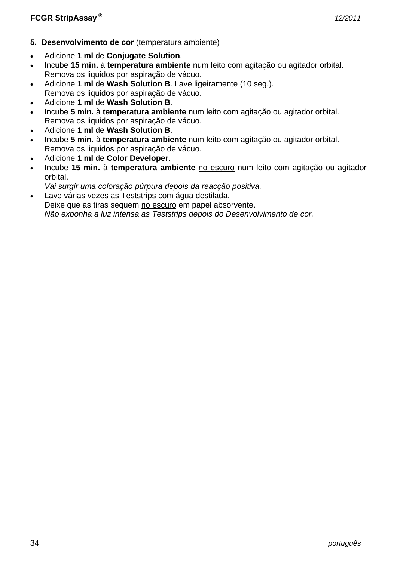- **5. Desenvolvimento de cor** (temperatura ambiente)
- Adicione **1 ml** de **Conjugate Solution**.
- Incube **15 min.** à **temperatura ambiente** num leito com agitação ou agitador orbital. Remova os liquidos por aspiração de vácuo.
- Adicione **1 ml** de **Wash Solution B**. Lave ligeiramente (10 seg.). Remova os liquidos por aspiração de vácuo.
- Adicione **1 ml** de **Wash Solution B**.
- Incube **5 min.** à **temperatura ambiente** num leito com agitação ou agitador orbital. Remova os liquidos por aspiração de vácuo.
- Adicione **1 ml** de **Wash Solution B**.
- Incube **5 min.** à **temperatura ambiente** num leito com agitação ou agitador orbital. Remova os liquidos por aspiração de vácuo.
- Adicione **1 ml** de **Color Developer**.
- Incube **15 min.** à **temperatura ambiente** no escuro num leito com agitação ou agitador orbital.
- *Vai surgir uma coloração púrpura depois da reacção positiva.*
- Lave várias vezes as Teststrips com água destilada. Deixe que as tiras sequem no escuro em papel absorvente.  *Não exponha a luz intensa as Teststrips depois do Desenvolvimento de cor.*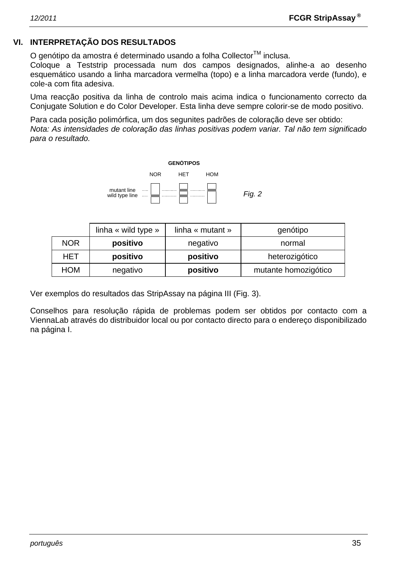#### **VI. INTERPRETAÇÃO DOS RESULTADOS**

O genótipo da amostra é determinado usando a folha Collector™ inclusa.

Coloque a Teststrip processada num dos campos designados, alinhe-a ao desenho esquemático usando a linha marcadora vermelha (topo) e a linha marcadora verde (fundo), e cole-a com fita adesiva.

Uma reacção positiva da linha de controlo mais acima indica o funcionamento correcto da Conjugate Solution e do Color Developer. Esta linha deve sempre colorir-se de modo positivo.

Para cada posição polimórfica, um dos segunites padrões de coloração deve ser obtido: *Nota: As intensidades de coloração das linhas positivas podem variar. Tal não tem significado para o resultado.* 



|            | linha « wild type » | linha « mutant »                 | genótipo       |  |
|------------|---------------------|----------------------------------|----------------|--|
| <b>NOR</b> | positivo            | negativo                         | normal         |  |
| HET        | positivo            | positivo                         | heterozigótico |  |
| <b>HOM</b> | negativo            | mutante homozigótico<br>positivo |                |  |

Ver exemplos do resultados das StripAssay na página III (Fig. 3).

Conselhos para resolução rápida de problemas podem ser obtidos por contacto com a ViennaLab através do distribuidor local ou por contacto directo para o endereço disponibilizado na página I.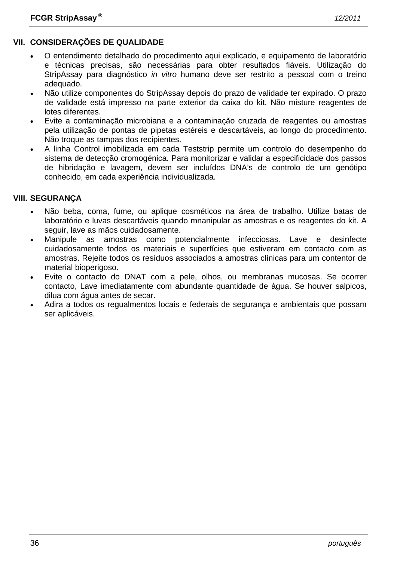### **VII. CONSIDERAÇÕES DE QUALIDADE**

- O entendimento detalhado do procedimento aqui explicado, e equipamento de laboratório e técnicas precisas, são necessárias para obter resultados fiáveis. Utilização do StripAssay para diagnóstico *in vitro* humano deve ser restrito a pessoal com o treino adequado.
- Não utilize componentes do StripAssay depois do prazo de validade ter expirado. O prazo de validade está impresso na parte exterior da caixa do kit. Não misture reagentes de lotes diferentes.
- Evite a contaminação microbiana e a contaminação cruzada de reagentes ou amostras pela utilização de pontas de pipetas estéreis e descartáveis, ao longo do procedimento. Não troque as tampas dos recipientes.
- A linha Control imobilizada em cada Teststrip permite um controlo do desempenho do sistema de detecção cromogénica. Para monitorizar e validar a especificidade dos passos de hibridação e lavagem, devem ser incluídos DNA's de controlo de um genótipo conhecido, em cada experiência individualizada.

#### **VIII. SEGURANÇA**

- Não beba, coma, fume, ou aplique cosméticos na área de trabalho. Utilize batas de laboratório e luvas descartáveis quando mnanipular as amostras e os reagentes do kit. A seguir, lave as mãos cuidadosamente.
- Manipule as amostras como potencialmente infecciosas. Lave e desinfecte cuidadosamente todos os materiais e superfícies que estiveram em contacto com as amostras. Rejeite todos os resíduos associados a amostras clínicas para um contentor de material bioperigoso.
- Evite o contacto do DNAT com a pele, olhos, ou membranas mucosas. Se ocorrer contacto, Lave imediatamente com abundante quantidade de água. Se houver salpicos, dilua com água antes de secar.
- Adira a todos os regualmentos locais e federais de segurança e ambientais que possam ser aplicáveis.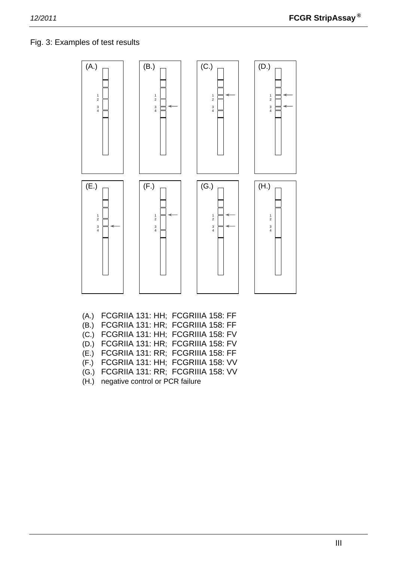#### Fig. 3: Examples of test results



- (E.) FCGRIIA 131: RR; FCGRIIIA 158: FF
- (F.) FCGRIIA 131: HH; FCGRIIIA 158: VV
- (G.) FCGRIIA 131: RR; FCGRIIIA 158: VV
- (H.) negative control or PCR failure